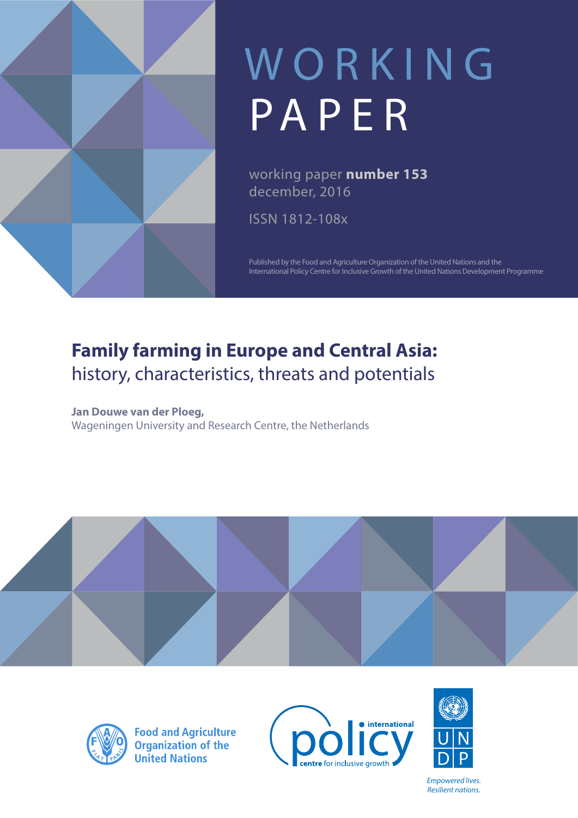

# WORKING PAPER

working paper **number 153** december, 2016

ISSN 1812-108x

Published by the Food and Agriculture Organization of the United Nations and the International Policy Centre for Inclusive Growth of the United Nations Development Programme

# **Family farming in Europe and Central Asia:**  history, characteristics, threats and potentials

**Jan Douwe van der Ploeg,**  Wageningen University and Research Centre, the Netherlands





**Food and Agriculture**<br>Organization of the **United Nations** 





*Empowered lives. Resilient nations.*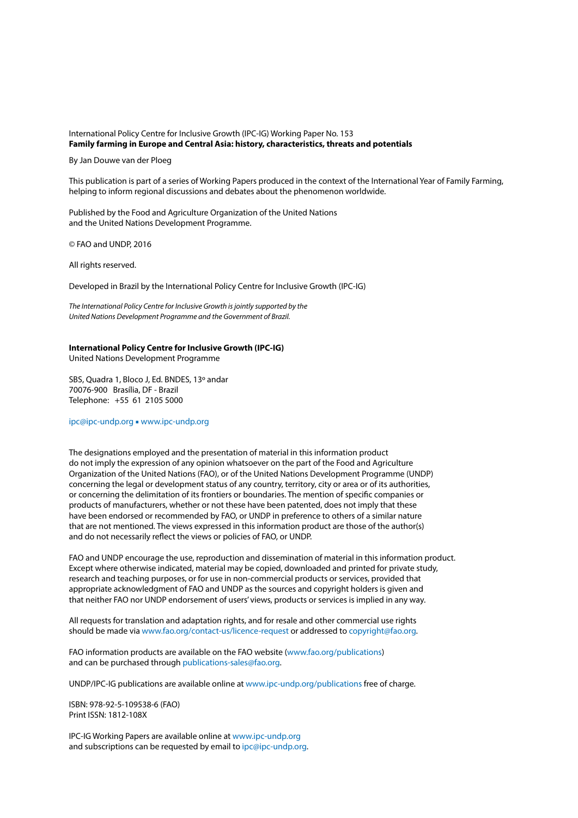#### International Policy Centre for Inclusive Growth (IPC-IG) Working Paper No. 153 **Family farming in Europe and Central Asia: history, characteristics, threats and potentials**

By Jan Douwe van der Ploeg

This publication is part of a series of Working Papers produced in the context of the International Year of Family Farming, helping to inform regional discussions and debates about the phenomenon worldwide.

Published by the Food and Agriculture Organization of the United Nations and the United Nations Development Programme.

© FAO and UNDP, 2016

All rights reserved.

Developed in Brazil by the International Policy Centre for Inclusive Growth (IPC-IG)

*The International Policy Centre for Inclusive Growth is jointly supported by the United Nations Development Programme and the Government of Brazil.*

#### **International Policy Centre for Inclusive Growth (IPC-IG)**

United Nations Development Programme

SBS, Quadra 1, Bloco J, Ed. BNDES, 13º andar 70076-900 Brasília, DF - Brazil Telephone: +55 61 2105 5000

#### [ipc@ipc-undp.org](mailto: ipc@ipc-undp.org) ■ [www.ipc-undp.org](http://www.ipc-undp.org)

The designations employed and the presentation of material in this information product do not imply the expression of any opinion whatsoever on the part of the Food and Agriculture Organization of the United Nations (FAO), or of the United Nations Development Programme (UNDP) concerning the legal or development status of any country, territory, city or area or of its authorities, or concerning the delimitation of its frontiers or boundaries. The mention of specific companies or products of manufacturers, whether or not these have been patented, does not imply that these have been endorsed or recommended by FAO, or UNDP in preference to others of a similar nature that are not mentioned. The views expressed in this information product are those of the author(s) and do not necessarily reflect the views or policies of FAO, or UNDP.

FAO and UNDP encourage the use, reproduction and dissemination of material in this information product. Except where otherwise indicated, material may be copied, downloaded and printed for private study, research and teaching purposes, or for use in non-commercial products or services, provided that appropriate acknowledgment of FAO and UNDP as the sources and copyright holders is given and that neither FAO nor UNDP endorsement of users' views, products or services is implied in any way.

All requests for translation and adaptation rights, and for resale and other commercial use rights should be made via [www.fao.org/contact-us/licence-request](http://www.fao.org/contact-us/licence-request) or addressed to [copyright@fao.org.](mailto: copyright@fao.org)

FAO information products are available on the FAO website ([www.fao.org/publications](http://www.fao.org/publications)) and can be purchased through [publications-sales@fao.org](mailto: publications-sales@fao.org).

UNDP/IPC-IG publications are available online at [www.ipc-undp.org/publications](http://www.ipc-undp.org/publications) free of charge.

ISBN: 978-92-5-109538-6 (FAO) Print ISSN: 1812-108X

IPC-IG Working Papers are available online at [www.ipc-undp.org](http://www.ipc-undp.org)  and subscriptions can be requested by email to [ipc@ipc-undp.org.](mailto: ipc@ipc-undp.org)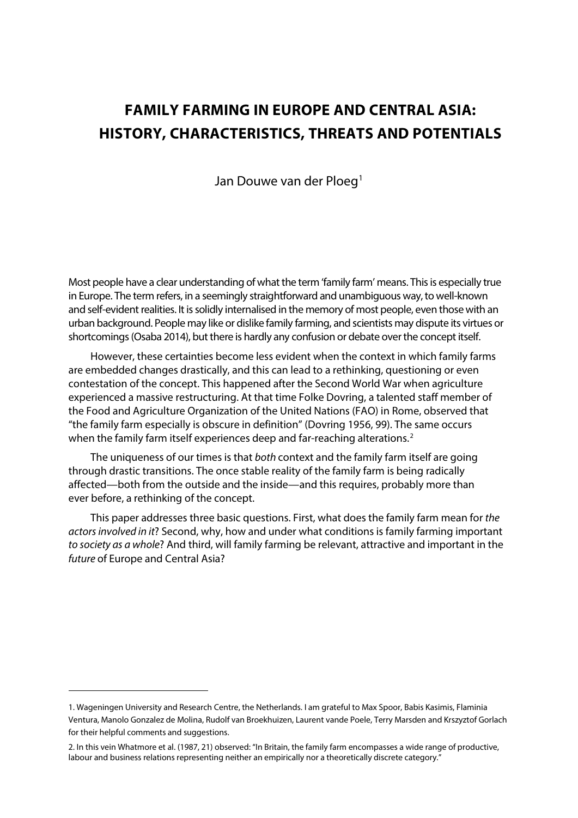# **FAMILY FARMING IN EUROPE AND CENTRAL ASIA: HISTORY, CHARACTERISTICS, THREATS AND POTENTIALS**

Jan Douwe van der Ploeg<sup>1</sup>

Most people have a clear understanding of what the term 'family farm' means. This is especially true in Europe. The term refers, in a seemingly straightforward and unambiguous way, to well-known and self-evident realities. It is solidly internalised in the memory of most people, even those with an urban background. People may like or dislike family farming, and scientists may dispute its virtues or shortcomings (Osaba 2014), but there is hardly any confusion or debate over the concept itself.

However, these certainties become less evident when the context in which family farms are embedded changes drastically, and this can lead to a rethinking, questioning or even contestation of the concept. This happened after the Second World War when agriculture experienced a massive restructuring. At that time Folke Dovring, a talented staff member of the Food and Agriculture Organization of the United Nations (FAO) in Rome, observed that "the family farm especially is obscure in definition" (Dovring 1956, 99). The same occurs when the family farm itself experiences deep and far-reaching alterations.<sup>[2](#page-2-1)</sup>

The uniqueness of our times is that *both* context and the family farm itself are going through drastic transitions. The once stable reality of the family farm is being radically affected—both from the outside and the inside—and this requires, probably more than ever before, a rethinking of the concept.

This paper addresses three basic questions. First, what does the family farm mean for *the actors involved in it*? Second, why, how and under what conditions is family farming important *to society as a whole*? And third, will family farming be relevant, attractive and important in the *future* of Europe and Central Asia?

<u>.</u>

<span id="page-2-0"></span><sup>1.</sup> Wageningen University and Research Centre, the Netherlands. I am grateful to Max Spoor, Babis Kasimis, Flaminia Ventura, Manolo Gonzalez de Molina, Rudolf van Broekhuizen, Laurent vande Poele, Terry Marsden and Krszyztof Gorlach for their helpful comments and suggestions.

<span id="page-2-1"></span><sup>2.</sup> In this vein Whatmore et al. (1987, 21) observed: "In Britain, the family farm encompasses a wide range of productive, labour and business relations representing neither an empirically nor a theoretically discrete category."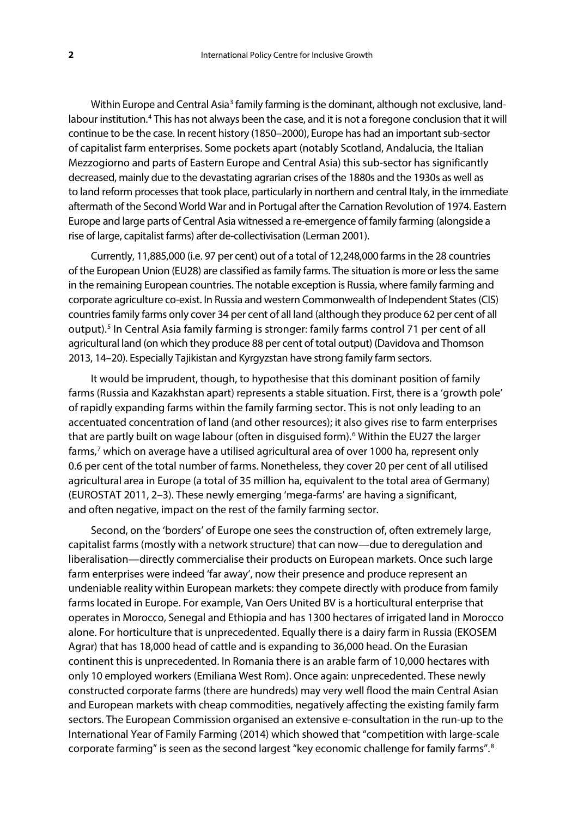Within Europe and Central Asia<sup>[3](#page-38-0)</sup> family farming is the dominant, although not exclusive, land-labour institution.<sup>[4](#page-38-1)</sup> This has not always been the case, and it is not a foregone conclusion that it will continue to be the case. In recent history (1850–2000), Europe has had an important sub-sector of capitalist farm enterprises. Some pockets apart (notably Scotland, Andalucia, the Italian Mezzogiorno and parts of Eastern Europe and Central Asia) this sub-sector has significantly decreased, mainly due to the devastating agrarian crises of the 1880s and the 1930s as well as to land reform processes that took place, particularly in northern and central Italy, in the immediate aftermath of the Second World War and in Portugal after the Carnation Revolution of 1974. Eastern Europe and large parts of Central Asia witnessed a re-emergence of family farming (alongside a rise of large, capitalist farms) after de-collectivisation (Lerman 2001).

Currently, 11,885,000 (i.e. 97 per cent) out of a total of 12,248,000 farms in the 28 countries of the European Union (EU28) are classified as family farms. The situation is more or less the same in the remaining European countries. The notable exception is Russia, where family farming and corporate agriculture co-exist. In Russia and western Commonwealth of Independent States (CIS) countries family farms only cover 34 per cent of all land (although they produce 62 per cent of all output).<sup>[5](#page-38-2)</sup> In Central Asia family farming is stronger: family farms control 71 per cent of all agricultural land (on which they produce 88 per cent of total output) (Davidova and Thomson 2013, 14–20). Especially Tajikistan and Kyrgyzstan have strong family farm sectors.

It would be imprudent, though, to hypothesise that this dominant position of family farms (Russia and Kazakhstan apart) represents a stable situation. First, there is a 'growth pole' of rapidly expanding farms within the family farming sector. This is not only leading to an accentuated concentration of land (and other resources); it also gives rise to farm enterprises that are partly built on wage labour (often in disguised form).<sup>[6](#page-38-3)</sup> Within the EU27 the larger farms,<sup>[7](#page-38-4)</sup> which on average have a utilised agricultural area of over 1000 ha, represent only 0.6 per cent of the total number of farms. Nonetheless, they cover 20 per cent of all utilised agricultural area in Europe (a total of 35 million ha, equivalent to the total area of Germany) (EUROSTAT 2011, 2–3). These newly emerging 'mega-farms' are having a significant, and often negative, impact on the rest of the family farming sector.

Second, on the 'borders' of Europe one sees the construction of, often extremely large, capitalist farms (mostly with a network structure) that can now—due to deregulation and liberalisation—directly commercialise their products on European markets. Once such large farm enterprises were indeed 'far away', now their presence and produce represent an undeniable reality within European markets: they compete directly with produce from family farms located in Europe. For example, Van Oers United BV is a horticultural enterprise that operates in Morocco, Senegal and Ethiopia and has 1300 hectares of irrigated land in Morocco alone. For horticulture that is unprecedented. Equally there is a dairy farm in Russia (EKOSEM Agrar) that has 18,000 head of cattle and is expanding to 36,000 head. On the Eurasian continent this is unprecedented. In Romania there is an arable farm of 10,000 hectares with only 10 employed workers (Emiliana West Rom). Once again: unprecedented. These newly constructed corporate farms (there are hundreds) may very well flood the main Central Asian and European markets with cheap commodities, negatively affecting the existing family farm sectors. The European Commission organised an extensive e-consultation in the run-up to the International Year of Family Farming (2014) which showed that "competition with large-scale corporate farming" is seen as the second largest "key economic challenge for family farms".[8](#page-38-5)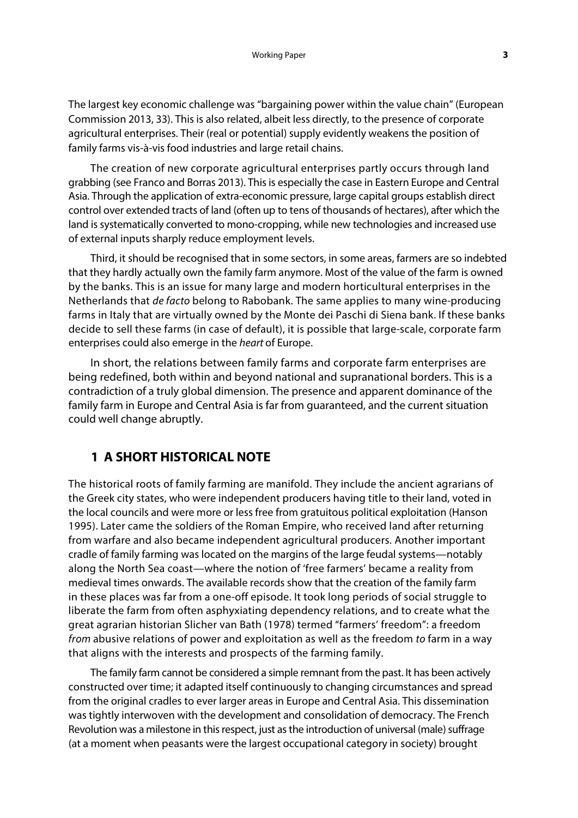The largest key economic challenge was "bargaining power within the value chain" (European Commission 2013, 33). This is also related, albeit less directly, to the presence of corporate agricultural enterprises. Their (real or potential) supply evidently weakens the position of family farms vis-à-vis food industries and large retail chains.

The creation of new corporate agricultural enterprises partly occurs through land grabbing (see Franco and Borras 2013). This is especially the case in Eastern Europe and Central Asia. Through the application of extra-economic pressure, large capital groups establish direct control over extended tracts of land (often up to tens of thousands of hectares), after which the land is systematically converted to mono-cropping, while new technologies and increased use of external inputs sharply reduce employment levels.

Third, it should be recognised that in some sectors, in some areas, farmers are so indebted that they hardly actually own the family farm anymore. Most of the value of the farm is owned by the banks. This is an issue for many large and modern horticultural enterprises in the Netherlands that *de facto* belong to Rabobank. The same applies to many wine-producing farms in Italy that are virtually owned by the Monte dei Paschi di Siena bank. If these banks decide to sell these farms (in case of default), it is possible that large-scale, corporate farm enterprises could also emerge in the *heart* of Europe.

In short, the relations between family farms and corporate farm enterprises are being redefined, both within and beyond national and supranational borders. This is a contradiction of a truly global dimension. The presence and apparent dominance of the family farm in Europe and Central Asia is far from guaranteed, and the current situation could well change abruptly.

# **1 A SHORT HISTORICAL NOTE**

The historical roots of family farming are manifold. They include the ancient agrarians of the Greek city states, who were independent producers having title to their land, voted in the local councils and were more or less free from gratuitous political exploitation (Hanson 1995). Later came the soldiers of the Roman Empire, who received land after returning from warfare and also became independent agricultural producers. Another important cradle of family farming was located on the margins of the large feudal systems—notably along the North Sea coast—where the notion of 'free farmers' became a reality from medieval times onwards. The available records show that the creation of the family farm in these places was far from a one-off episode. It took long periods of social struggle to liberate the farm from often asphyxiating dependency relations, and to create what the great agrarian historian Slicher van Bath (1978) termed "farmers' freedom": a freedom *from* abusive relations of power and exploitation as well as the freedom *to* farm in a way that aligns with the interests and prospects of the farming family.

The family farm cannot be considered a simple remnant from the past. It has been actively constructed over time; it adapted itself continuously to changing circumstances and spread from the original cradles to ever larger areas in Europe and Central Asia. This dissemination was tightly interwoven with the development and consolidation of democracy. The French Revolution was a milestone in this respect, just as the introduction of universal (male) suffrage (at a moment when peasants were the largest occupational category in society) brought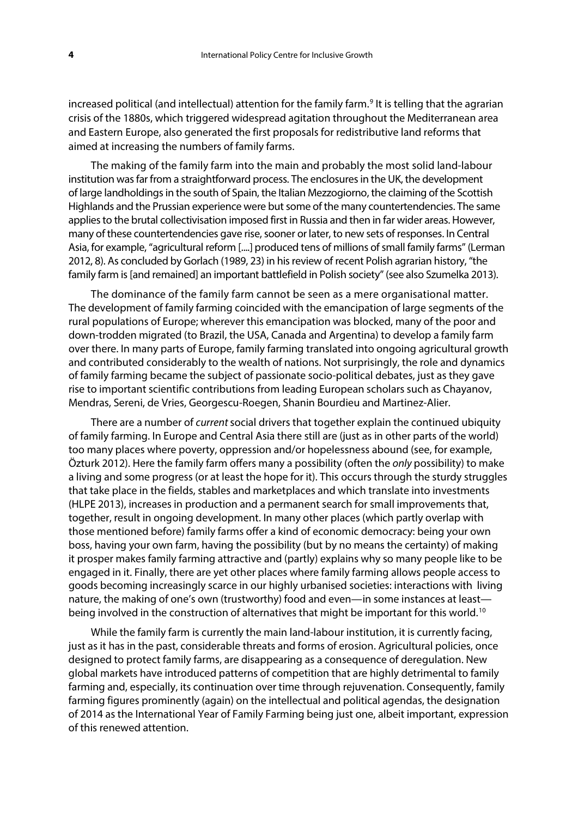increased political (and intellectual) attention for the family farm.<sup>[9](#page-38-6)</sup> It is telling that the agrarian crisis of the 1880s, which triggered widespread agitation throughout the Mediterranean area and Eastern Europe, also generated the first proposals for redistributive land reforms that aimed at increasing the numbers of family farms.

The making of the family farm into the main and probably the most solid land-labour institution was far from a straightforward process. The enclosures in the UK, the development of large landholdings in the south of Spain, the Italian Mezzogiorno, the claiming of the Scottish Highlands and the Prussian experience were but some of the many countertendencies. The same applies to the brutal collectivisation imposed first in Russia and then in far wider areas. However, many of these countertendencies gave rise, sooner or later, to new sets of responses. In Central Asia, for example, "agricultural reform [....] produced tens of millions of small family farms" (Lerman 2012, 8). As concluded by Gorlach (1989, 23) in his review of recent Polish agrarian history, "the family farm is [and remained] an important battlefield in Polish society" (see also Szumelka 2013).

The dominance of the family farm cannot be seen as a mere organisational matter. The development of family farming coincided with the emancipation of large segments of the rural populations of Europe; wherever this emancipation was blocked, many of the poor and down-trodden migrated (to Brazil, the USA, Canada and Argentina) to develop a family farm over there. In many parts of Europe, family farming translated into ongoing agricultural growth and contributed considerably to the wealth of nations. Not surprisingly, the role and dynamics of family farming became the subject of passionate socio-political debates, just as they gave rise to important scientific contributions from leading European scholars such as Chayanov, Mendras, Sereni, de Vries, Georgescu-Roegen, Shanin Bourdieu and Martinez-Alier.

There are a number of *current* social drivers that together explain the continued ubiquity of family farming. In Europe and Central Asia there still are (just as in other parts of the world) too many places where poverty, oppression and/or hopelessness abound (see, for example, Özturk 2012). Here the family farm offers many a possibility (often the *only* possibility) to make a living and some progress (or at least the hope for it). This occurs through the sturdy struggles that take place in the fields, stables and marketplaces and which translate into investments (HLPE 2013), increases in production and a permanent search for small improvements that, together, result in ongoing development. In many other places (which partly overlap with those mentioned before) family farms offer a kind of economic democracy: being your own boss, having your own farm, having the possibility (but by no means the certainty) of making it prosper makes family farming attractive and (partly) explains why so many people like to be engaged in it. Finally, there are yet other places where family farming allows people access to goods becoming increasingly scarce in our highly urbanised societies: interactions with living nature, the making of one's own (trustworthy) food and even—in some instances at least— being involved in the construction of alternatives that might be important for this world.<sup>[10](#page-38-7)</sup>

While the family farm is currently the main land-labour institution, it is currently facing, just as it has in the past, considerable threats and forms of erosion. Agricultural policies, once designed to protect family farms, are disappearing as a consequence of deregulation. New global markets have introduced patterns of competition that are highly detrimental to family farming and, especially, its continuation over time through rejuvenation. Consequently, family farming figures prominently (again) on the intellectual and political agendas, the designation of 2014 as the International Year of Family Farming being just one, albeit important, expression of this renewed attention.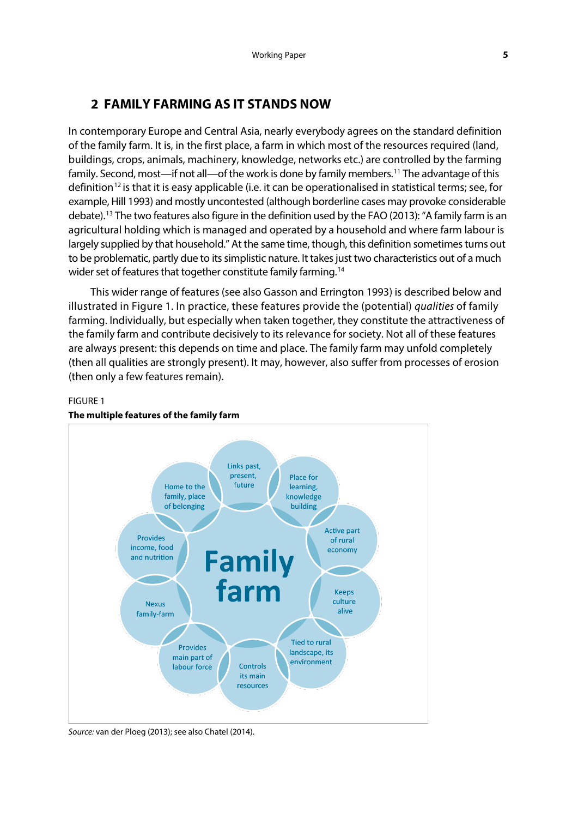# **2 FAMILY FARMING AS IT STANDS NOW**

In contemporary Europe and Central Asia, nearly everybody agrees on the standard definition of the family farm. It is, in the first place, a farm in which most of the resources required (land, buildings, crops, animals, machinery, knowledge, networks etc.) are controlled by the farming family. Second, most—if not all—of the work is done by family members.<sup>11</sup> The advantage of this definition<sup>[12](#page-38-9)</sup> is that it is easy applicable (i.e. it can be operationalised in statistical terms; see, for example, Hill 1993) and mostly uncontested (although borderline cases may provoke considerable debate).[13](#page-38-10) The two features also figure in the definition used by the FAO (2013): "A family farm is an agricultural holding which is managed and operated by a household and where farm labour is largely supplied by that household." At the same time, though, this definition sometimes turns out to be problematic, partly due to its simplistic nature. It takes just two characteristics out of a much wider set of features that together constitute family farming.<sup>[14](#page-38-11)</sup>

This wider range of features (see also Gasson and Errington 1993) is described below and illustrated in Figure 1. In practice, these features provide the (potential) *qualities* of family farming. Individually, but especially when taken together, they constitute the attractiveness of the family farm and contribute decisively to its relevance for society. Not all of these features are always present: this depends on time and place. The family farm may unfold completely (then all qualities are strongly present). It may, however, also suffer from processes of erosion (then only a few features remain).

## FIGURE 1



#### **The multiple features of the family farm**

*Source:* van der Ploeg (2013); see also Chatel (2014).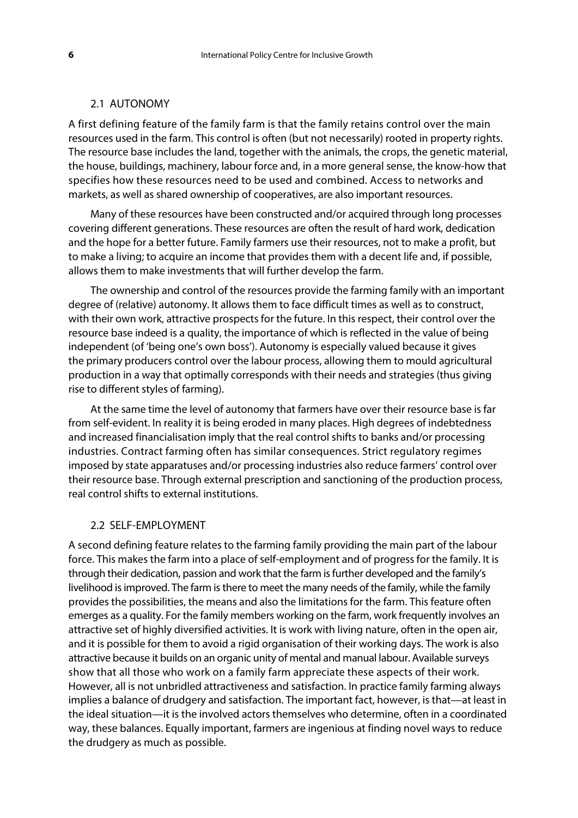#### 2.1 AUTONOMY

A first defining feature of the family farm is that the family retains control over the main resources used in the farm. This control is often (but not necessarily) rooted in property rights. The resource base includes the land, together with the animals, the crops, the genetic material, the house, buildings, machinery, labour force and, in a more general sense, the know-how that specifies how these resources need to be used and combined. Access to networks and markets, as well as shared ownership of cooperatives, are also important resources.

Many of these resources have been constructed and/or acquired through long processes covering different generations. These resources are often the result of hard work, dedication and the hope for a better future. Family farmers use their resources, not to make a profit, but to make a living; to acquire an income that provides them with a decent life and, if possible, allows them to make investments that will further develop the farm.

The ownership and control of the resources provide the farming family with an important degree of (relative) autonomy. It allows them to face difficult times as well as to construct, with their own work, attractive prospects for the future. In this respect, their control over the resource base indeed is a quality, the importance of which is reflected in the value of being independent (of 'being one's own boss'). Autonomy is especially valued because it gives the primary producers control over the labour process, allowing them to mould agricultural production in a way that optimally corresponds with their needs and strategies (thus giving rise to different styles of farming).

At the same time the level of autonomy that farmers have over their resource base is far from self-evident. In reality it is being eroded in many places. High degrees of indebtedness and increased financialisation imply that the real control shifts to banks and/or processing industries. Contract farming often has similar consequences. Strict regulatory regimes imposed by state apparatuses and/or processing industries also reduce farmers' control over their resource base. Through external prescription and sanctioning of the production process, real control shifts to external institutions.

#### 2.2 SELF-EMPLOYMENT

A second defining feature relates to the farming family providing the main part of the labour force. This makes the farm into a place of self-employment and of progress for the family. It is through their dedication, passion and work that the farm is further developed and the family's livelihood is improved. The farm is there to meet the many needs of the family, while the family provides the possibilities, the means and also the limitations for the farm. This feature often emerges as a quality. For the family members working on the farm, work frequently involves an attractive set of highly diversified activities. It is work with living nature, often in the open air, and it is possible for them to avoid a rigid organisation of their working days. The work is also attractive because it builds on an organic unity of mental and manual labour. Available surveys show that all those who work on a family farm appreciate these aspects of their work. However, all is not unbridled attractiveness and satisfaction. In practice family farming always implies a balance of drudgery and satisfaction. The important fact, however, is that—at least in the ideal situation—it is the involved actors themselves who determine, often in a coordinated way, these balances. Equally important, farmers are ingenious at finding novel ways to reduce the drudgery as much as possible.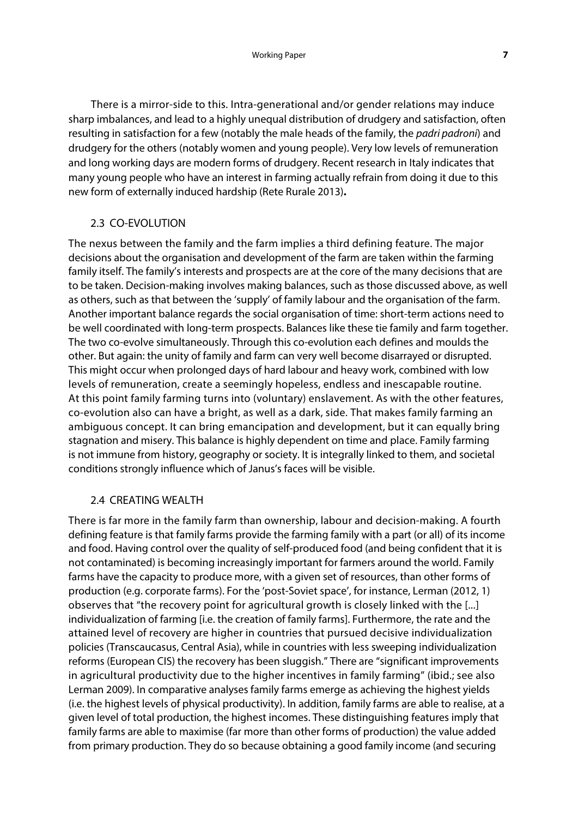There is a mirror-side to this. Intra-generational and/or gender relations may induce sharp imbalances, and lead to a highly unequal distribution of drudgery and satisfaction, often resulting in satisfaction for a few (notably the male heads of the family, the *padri padroni*) and drudgery for the others (notably women and young people). Very low levels of remuneration and long working days are modern forms of drudgery. Recent research in Italy indicates that many young people who have an interest in farming actually refrain from doing it due to this new form of externally induced hardship (Rete Rurale 2013)**.**

#### 2.3 CO-EVOLUTION

The nexus between the family and the farm implies a third defining feature. The major decisions about the organisation and development of the farm are taken within the farming family itself. The family's interests and prospects are at the core of the many decisions that are to be taken. Decision-making involves making balances, such as those discussed above, as well as others, such as that between the 'supply' of family labour and the organisation of the farm. Another important balance regards the social organisation of time: short-term actions need to be well coordinated with long-term prospects. Balances like these tie family and farm together. The two co-evolve simultaneously. Through this co-evolution each defines and moulds the other. But again: the unity of family and farm can very well become disarrayed or disrupted. This might occur when prolonged days of hard labour and heavy work, combined with low levels of remuneration, create a seemingly hopeless, endless and inescapable routine. At this point family farming turns into (voluntary) enslavement. As with the other features, co-evolution also can have a bright, as well as a dark, side. That makes family farming an ambiguous concept. It can bring emancipation and development, but it can equally bring stagnation and misery. This balance is highly dependent on time and place. Family farming is not immune from history, geography or society. It is integrally linked to them, and societal conditions strongly influence which of Janus's faces will be visible.

#### 2.4 CREATING WEALTH

There is far more in the family farm than ownership, labour and decision-making. A fourth defining feature is that family farms provide the farming family with a part (or all) of its income and food. Having control over the quality of self-produced food (and being confident that it is not contaminated) is becoming increasingly important for farmers around the world. Family farms have the capacity to produce more, with a given set of resources, than other forms of production (e.g. corporate farms). For the 'post-Soviet space', for instance, Lerman (2012, 1) observes that "the recovery point for agricultural growth is closely linked with the [...] individualization of farming [i.e. the creation of family farms]. Furthermore, the rate and the attained level of recovery are higher in countries that pursued decisive individualization policies (Transcaucasus, Central Asia), while in countries with less sweeping individualization reforms (European CIS) the recovery has been sluggish." There are "significant improvements in agricultural productivity due to the higher incentives in family farming" (ibid.; see also Lerman 2009). In comparative analyses family farms emerge as achieving the highest yields (i.e. the highest levels of physical productivity). In addition, family farms are able to realise, at a given level of total production, the highest incomes. These distinguishing features imply that family farms are able to maximise (far more than other forms of production) the value added from primary production. They do so because obtaining a good family income (and securing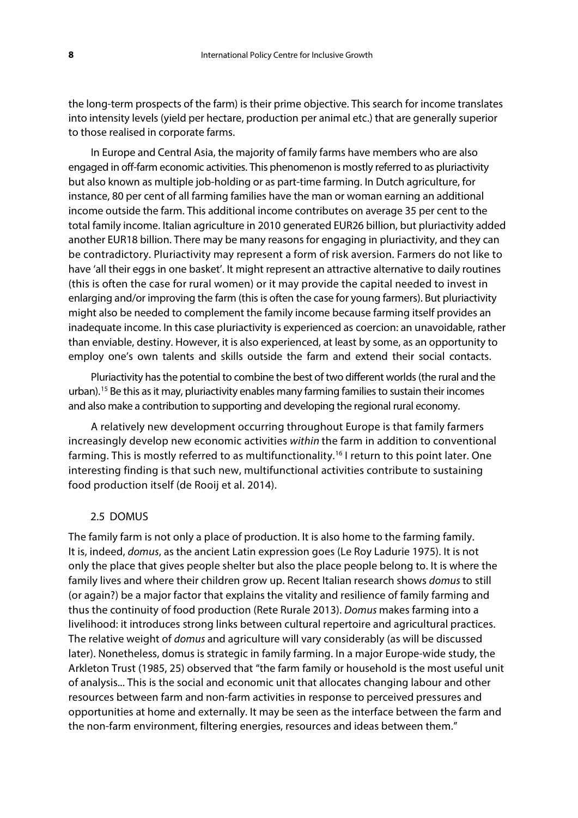the long-term prospects of the farm) is their prime objective. This search for income translates into intensity levels (yield per hectare, production per animal etc.) that are generally superior to those realised in corporate farms.

In Europe and Central Asia, the majority of family farms have members who are also engaged in off-farm economic activities. This phenomenon is mostly referred to as pluriactivity but also known as multiple job-holding or as part-time farming. In Dutch agriculture, for instance, 80 per cent of all farming families have the man or woman earning an additional income outside the farm. This additional income contributes on average 35 per cent to the total family income. Italian agriculture in 2010 generated EUR26 billion, but pluriactivity added another EUR18 billion. There may be many reasons for engaging in pluriactivity, and they can be contradictory. Pluriactivity may represent a form of risk aversion. Farmers do not like to have 'all their eggs in one basket'. It might represent an attractive alternative to daily routines (this is often the case for rural women) or it may provide the capital needed to invest in enlarging and/or improving the farm (this is often the case for young farmers). But pluriactivity might also be needed to complement the family income because farming itself provides an inadequate income. In this case pluriactivity is experienced as coercion: an unavoidable, rather than enviable, destiny. However, it is also experienced, at least by some, as an opportunity to employ one's own talents and skills outside the farm and extend their social contacts.

Pluriactivity has the potential to combine the best of two different worlds (the rural and the urban).[15](#page-38-12) Be this as it may, pluriactivity enables many farming families to sustain their incomes and also make a contribution to supporting and developing the regional rural economy.

A relatively new development occurring throughout Europe is that family farmers increasingly develop new economic activities *within* the farm in addition to conventional farming. This is mostly referred to as multifunctionality.<sup>[16](#page-38-13)</sup> I return to this point later. One interesting finding is that such new, multifunctional activities contribute to sustaining food production itself (de Rooij et al. 2014).

#### 2.5 DOMUS

The family farm is not only a place of production. It is also home to the farming family. It is, indeed, *domus*, as the ancient Latin expression goes (Le Roy Ladurie 1975). It is not only the place that gives people shelter but also the place people belong to. It is where the family lives and where their children grow up. Recent Italian research shows *domus* to still (or again?) be a major factor that explains the vitality and resilience of family farming and thus the continuity of food production (Rete Rurale 2013). *Domus* makes farming into a livelihood: it introduces strong links between cultural repertoire and agricultural practices. The relative weight of *domus* and agriculture will vary considerably (as will be discussed later). Nonetheless, domus is strategic in family farming. In a major Europe-wide study, the Arkleton Trust (1985, 25) observed that "the farm family or household is the most useful unit of analysis... This is the social and economic unit that allocates changing labour and other resources between farm and non-farm activities in response to perceived pressures and opportunities at home and externally. It may be seen as the interface between the farm and the non-farm environment, filtering energies, resources and ideas between them."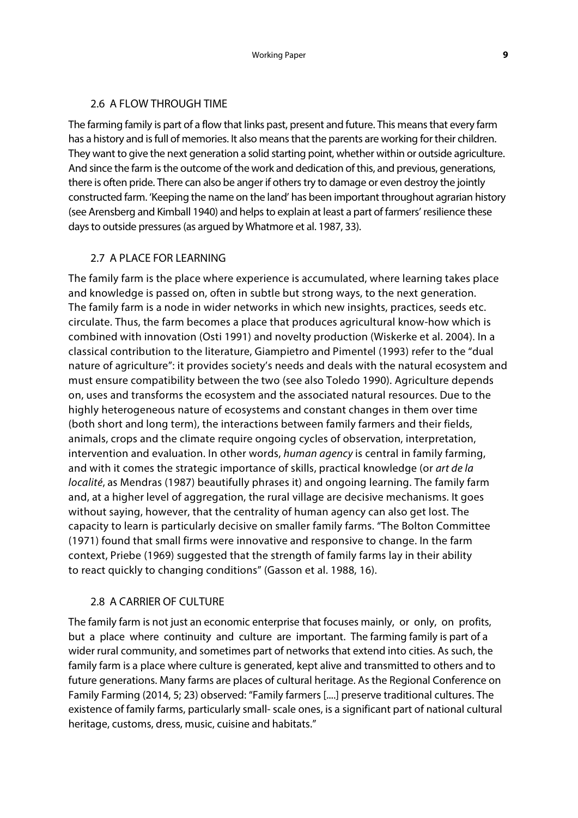#### 2.6 A FLOW THROUGH TIME

The farming family is part of a flow that links past, present and future. This means that every farm has a history and is full of memories. It also means that the parents are working for their children. They want to give the next generation a solid starting point, whether within or outside agriculture. And since the farm is the outcome of the work and dedication of this, and previous, generations, there is often pride. There can also be anger if others try to damage or even destroy the jointly constructed farm. 'Keeping the name on the land' has been important throughout agrarian history (see Arensberg and Kimball 1940) and helps to explain at least a part of farmers' resilience these days to outside pressures (as argued by Whatmore et al. 1987, 33).

#### 2.7 A PLACE FOR LEARNING

The family farm is the place where experience is accumulated, where learning takes place and knowledge is passed on, often in subtle but strong ways, to the next generation. The family farm is a node in wider networks in which new insights, practices, seeds etc. circulate. Thus, the farm becomes a place that produces agricultural know-how which is combined with innovation (Osti 1991) and novelty production (Wiskerke et al. 2004). In a classical contribution to the literature, Giampietro and Pimentel (1993) refer to the "dual nature of agriculture": it provides society's needs and deals with the natural ecosystem and must ensure compatibility between the two (see also Toledo 1990). Agriculture depends on, uses and transforms the ecosystem and the associated natural resources. Due to the highly heterogeneous nature of ecosystems and constant changes in them over time (both short and long term), the interactions between family farmers and their fields, animals, crops and the climate require ongoing cycles of observation, interpretation, intervention and evaluation. In other words, *human agency* is central in family farming, and with it comes the strategic importance of skills, practical knowledge (or *art de la localité*, as Mendras (1987) beautifully phrases it) and ongoing learning. The family farm and, at a higher level of aggregation, the rural village are decisive mechanisms. It goes without saying, however, that the centrality of human agency can also get lost. The capacity to learn is particularly decisive on smaller family farms. "The Bolton Committee (1971) found that small firms were innovative and responsive to change. In the farm context, Priebe (1969) suggested that the strength of family farms lay in their ability to react quickly to changing conditions" (Gasson et al. 1988, 16).

#### 2.8 A CARRIER OF CULTURE

The family farm is not just an economic enterprise that focuses mainly, or only, on profits, but a place where continuity and culture are important. The farming family is part of a wider rural community, and sometimes part of networks that extend into cities. As such, the family farm is a place where culture is generated, kept alive and transmitted to others and to future generations. Many farms are places of cultural heritage. As the Regional Conference on Family Farming (2014, 5; 23) observed: "Family farmers [....] preserve traditional cultures. The existence of family farms, particularly small- scale ones, is a significant part of national cultural heritage, customs, dress, music, cuisine and habitats."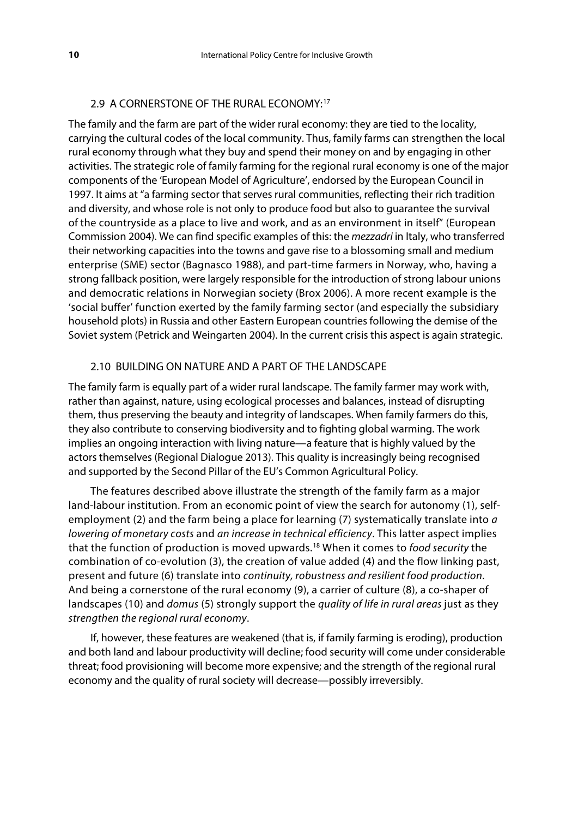#### 2.9 A CORNERSTONE OF THE RURAL ECONOMY:[17](#page-38-14)

The family and the farm are part of the wider rural economy: they are tied to the locality, carrying the cultural codes of the local community. Thus, family farms can strengthen the local rural economy through what they buy and spend their money on and by engaging in other activities. The strategic role of family farming for the regional rural economy is one of the major components of the 'European Model of Agriculture', endorsed by the European Council in 1997. It aims at "a farming sector that serves rural communities, reflecting their rich tradition and diversity, and whose role is not only to produce food but also to guarantee the survival of the countryside as a place to live and work, and as an environment in itself" (European Commission 2004). We can find specific examples of this: the *mezzadri* in Italy, who transferred their networking capacities into the towns and gave rise to a blossoming small and medium enterprise (SME) sector (Bagnasco 1988), and part-time farmers in Norway, who, having a strong fallback position, were largely responsible for the introduction of strong labour unions and democratic relations in Norwegian society (Brox 2006). A more recent example is the 'social buffer' function exerted by the family farming sector (and especially the subsidiary household plots) in Russia and other Eastern European countries following the demise of the Soviet system (Petrick and Weingarten 2004). In the current crisis this aspect is again strategic.

#### 2.10 BUILDING ON NATURE AND A PART OF THE LANDSCAPE

The family farm is equally part of a wider rural landscape. The family farmer may work with, rather than against, nature, using ecological processes and balances, instead of disrupting them, thus preserving the beauty and integrity of landscapes. When family farmers do this, they also contribute to conserving biodiversity and to fighting global warming. The work implies an ongoing interaction with living nature—a feature that is highly valued by the actors themselves (Regional Dialogue 2013). This quality is increasingly being recognised and supported by the Second Pillar of the EU's Common Agricultural Policy.

The features described above illustrate the strength of the family farm as a major land-labour institution. From an economic point of view the search for autonomy (1), selfemployment (2) and the farm being a place for learning (7) systematically translate into *a lowering of monetary costs* and *an increase in technical efficiency*. This latter aspect implies that the function of production is moved upwards.[18](#page-38-15) When it comes to *food security* the combination of co-evolution (3), the creation of value added (4) and the flow linking past, present and future (6) translate into *continuity, robustness and resilient food production*. And being a cornerstone of the rural economy (9), a carrier of culture (8), a co-shaper of landscapes (10) and *domus* (5) strongly support the *quality of life in rural areas* just as they *strengthen the regional rural economy*.

If, however, these features are weakened (that is, if family farming is eroding), production and both land and labour productivity will decline; food security will come under considerable threat; food provisioning will become more expensive; and the strength of the regional rural economy and the quality of rural society will decrease—possibly irreversibly.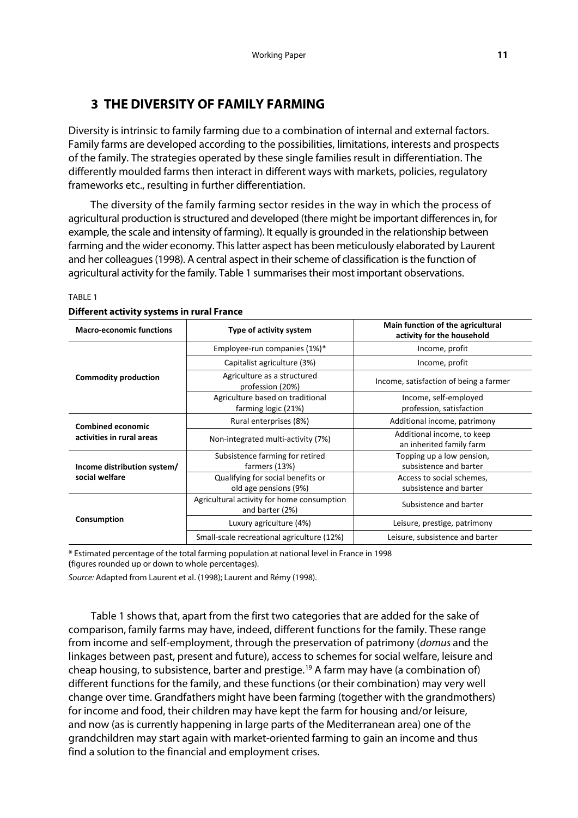# **3 THE DIVERSITY OF FAMILY FARMING**

Diversity is intrinsic to family farming due to a combination of internal and external factors. Family farms are developed according to the possibilities, limitations, interests and prospects of the family. The strategies operated by these single families result in differentiation. The differently moulded farms then interact in different ways with markets, policies, regulatory frameworks etc., resulting in further differentiation.

The diversity of the family farming sector resides in the way in which the process of agricultural production is structured and developed (there might be important differences in, for example, the scale and intensity of farming). It equally is grounded in the relationship between farming and the wider economy. This latter aspect has been meticulously elaborated by Laurent and her colleagues (1998). A central aspect in their scheme of classification is the function of agricultural activity for the family. Table 1 summarises their most important observations.

| <b>Macro-economic functions</b>                       | Type of activity system                                       | Main function of the agricultural<br>activity for the household |
|-------------------------------------------------------|---------------------------------------------------------------|-----------------------------------------------------------------|
| <b>Commodity production</b>                           | Employee-run companies (1%)*                                  | Income, profit                                                  |
|                                                       | Capitalist agriculture (3%)                                   | Income, profit                                                  |
|                                                       | Agriculture as a structured<br>profession (20%)               | Income, satisfaction of being a farmer                          |
|                                                       | Agriculture based on traditional<br>farming logic (21%)       | Income, self-employed<br>profession, satisfaction               |
| <b>Combined economic</b><br>activities in rural areas | Rural enterprises (8%)                                        | Additional income, patrimony                                    |
|                                                       | Non-integrated multi-activity (7%)                            | Additional income, to keep<br>an inherited family farm          |
| Income distribution system/<br>social welfare         | Subsistence farming for retired<br>farmers (13%)              | Topping up a low pension,<br>subsistence and barter             |
|                                                       | Qualifying for social benefits or<br>old age pensions (9%)    | Access to social schemes,<br>subsistence and barter             |
| Consumption                                           | Agricultural activity for home consumption<br>and barter (2%) | Subsistence and barter                                          |
|                                                       | Luxury agriculture (4%)                                       | Leisure, prestige, patrimony                                    |
|                                                       | Small-scale recreational agriculture (12%)                    | Leisure, subsistence and barter                                 |

#### TABLE 1 **Different activity systems in rural France**

**\*** Estimated percentage of the total farming population at national level in France in 1998 **(**figures rounded up or down to whole percentages).

*Source:* Adapted from Laurent et al. (1998); Laurent and Rémy (1998).

Table 1 shows that, apart from the first two categories that are added for the sake of comparison, family farms may have, indeed, different functions for the family. These range from income and self-employment, through the preservation of patrimony (*domus* and the linkages between past, present and future), access to schemes for social welfare, leisure and cheap housing, to subsistence, barter and prestige.<sup>[19](#page-38-16)</sup> A farm may have (a combination of) different functions for the family, and these functions (or their combination) may very well change over time. Grandfathers might have been farming (together with the grandmothers) for income and food, their children may have kept the farm for housing and/or leisure, and now (as is currently happening in large parts of the Mediterranean area) one of the grandchildren may start again with market-oriented farming to gain an income and thus find a solution to the financial and employment crises.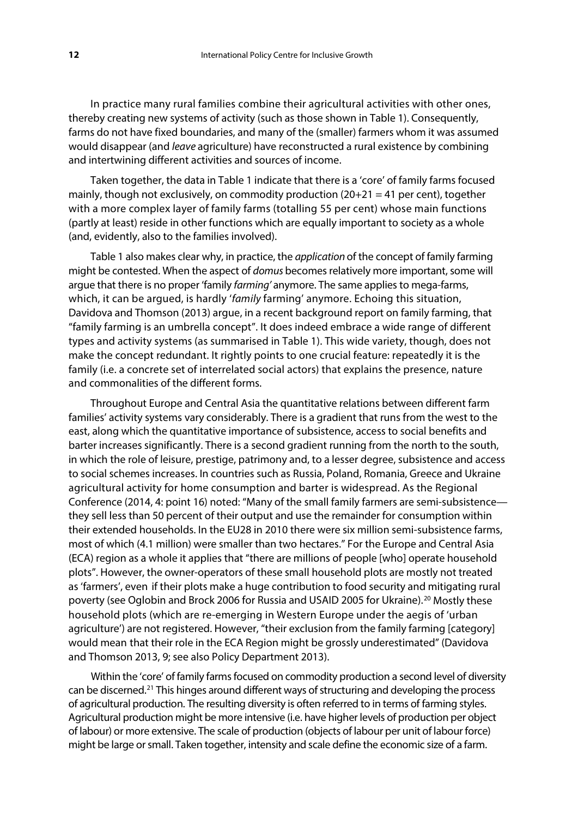In practice many rural families combine their agricultural activities with other ones, thereby creating new systems of activity (such as those shown in Table 1). Consequently, farms do not have fixed boundaries, and many of the (smaller) farmers whom it was assumed would disappear (and *leave* agriculture) have reconstructed a rural existence by combining and intertwining different activities and sources of income.

Taken together, the data in Table 1 indicate that there is a 'core' of family farms focused mainly, though not exclusively, on commodity production  $(20+21 = 41$  per cent), together with a more complex layer of family farms (totalling 55 per cent) whose main functions (partly at least) reside in other functions which are equally important to society as a whole (and, evidently, also to the families involved).

Table 1 also makes clear why, in practice, the *application* of the concept of family farming might be contested. When the aspect of *domus* becomes relatively more important, some will argue that there is no proper 'family *farming'* anymore. The same applies to mega-farms, which, it can be argued, is hardly '*family* farming' anymore. Echoing this situation, Davidova and Thomson (2013) argue, in a recent background report on family farming, that "family farming is an umbrella concept". It does indeed embrace a wide range of different types and activity systems (as summarised in Table 1). This wide variety, though, does not make the concept redundant. It rightly points to one crucial feature: repeatedly it is the family (i.e. a concrete set of interrelated social actors) that explains the presence, nature and commonalities of the different forms.

Throughout Europe and Central Asia the quantitative relations between different farm families' activity systems vary considerably. There is a gradient that runs from the west to the east, along which the quantitative importance of subsistence, access to social benefits and barter increases significantly. There is a second gradient running from the north to the south, in which the role of leisure, prestige, patrimony and, to a lesser degree, subsistence and access to social schemes increases. In countries such as Russia, Poland, Romania, Greece and Ukraine agricultural activity for home consumption and barter is widespread. As the Regional Conference (2014, 4: point 16) noted: "Many of the small family farmers are semi-subsistence they sell less than 50 percent of their output and use the remainder for consumption within their extended households. In the EU28 in 2010 there were six million semi-subsistence farms, most of which (4.1 million) were smaller than two hectares." For the Europe and Central Asia (ECA) region as a whole it applies that "there are millions of people [who] operate household plots". However, the owner-operators of these small household plots are mostly not treated as 'farmers', even if their plots make a huge contribution to food security and mitigating rural poverty (see Oglobin and Brock [20](#page-38-17)06 for Russia and USAID 2005 for Ukraine).<sup>20</sup> Mostly these household plots (which are re-emerging in Western Europe under the aegis of 'urban agriculture') are not registered. However, "their exclusion from the family farming [category] would mean that their role in the ECA Region might be grossly underestimated" (Davidova and Thomson 2013, 9; see also Policy Department 2013).

Within the 'core' of family farms focused on commodity production a second level of diversity can be discerned.[21](#page-38-18) This hinges around different ways of structuring and developing the process of agricultural production. The resulting diversity is often referred to in terms of farming styles. Agricultural production might be more intensive (i.e. have higher levels of production per object of labour) or more extensive. The scale of production (objects of labour per unit of labour force) might be large or small. Taken together, intensity and scale define the economic size of a farm.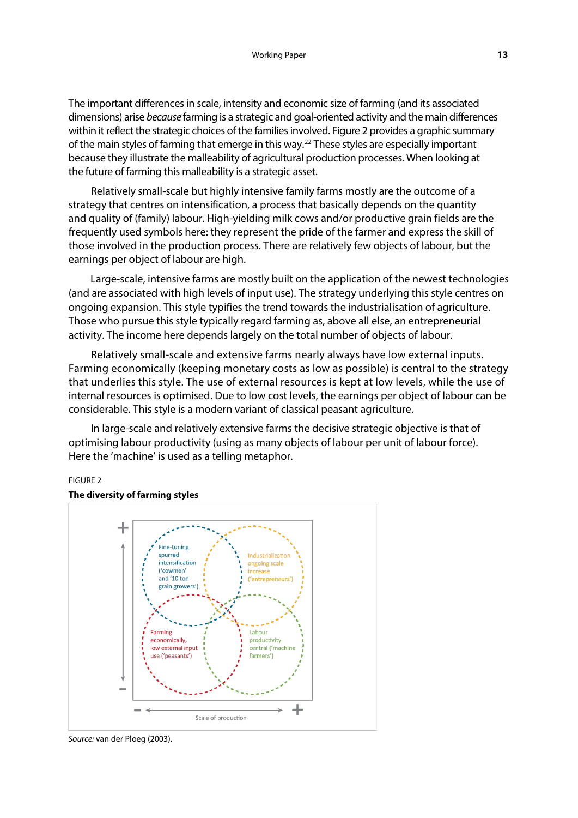The important differences in scale, intensity and economic size of farming (and its associated dimensions) arise *because* farming is a strategic and goal-oriented activity and the main differences within it reflect the strategic choices of the families involved. Figure 2 provides a graphic summary of the main styles of farming that emerge in this way.<sup>[22](#page-38-19)</sup> These styles are especially important because they illustrate the malleability of agricultural production processes. When looking at the future of farming this malleability is a strategic asset.

Relatively small-scale but highly intensive family farms mostly are the outcome of a strategy that centres on intensification, a process that basically depends on the quantity and quality of (family) labour. High-yielding milk cows and/or productive grain fields are the frequently used symbols here: they represent the pride of the farmer and express the skill of those involved in the production process. There are relatively few objects of labour, but the earnings per object of labour are high.

Large-scale, intensive farms are mostly built on the application of the newest technologies (and are associated with high levels of input use). The strategy underlying this style centres on ongoing expansion. This style typifies the trend towards the industrialisation of agriculture. Those who pursue this style typically regard farming as, above all else, an entrepreneurial activity. The income here depends largely on the total number of objects of labour.

Relatively small-scale and extensive farms nearly always have low external inputs. Farming economically (keeping monetary costs as low as possible) is central to the strategy that underlies this style. The use of external resources is kept at low levels, while the use of internal resources is optimised. Due to low cost levels, the earnings per object of labour can be considerable. This style is a modern variant of classical peasant agriculture.

In large-scale and relatively extensive farms the decisive strategic objective is that of optimising labour productivity (using as many objects of labour per unit of labour force). Here the 'machine' is used as a telling metaphor.

#### FIGURE 2

#### **The diversity of farming styles**



*Source:* van der Ploeg (2003).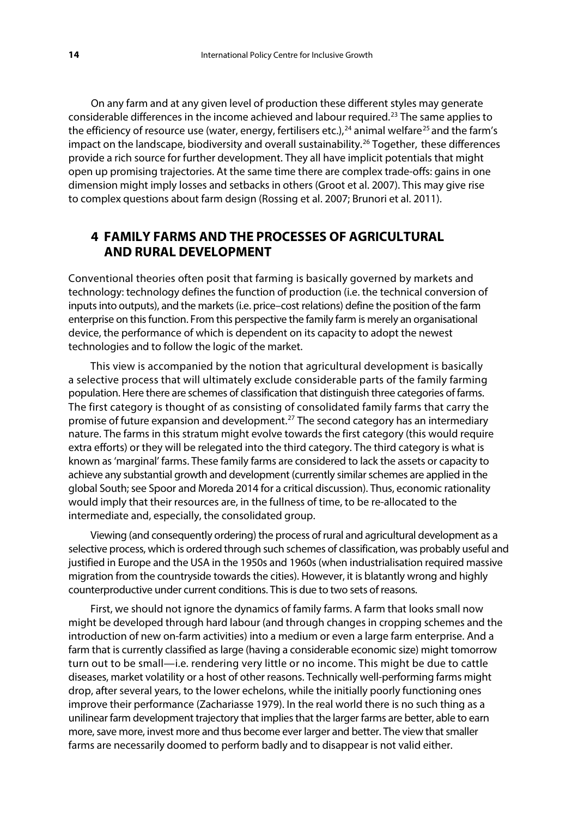On any farm and at any given level of production these different styles may generate considerable differences in the income achieved and labour required.[23](#page-38-20) The same applies to the efficiency of resource use (water, energy, fertilisers etc.),<sup>[24](#page-38-21)</sup> animal welfare<sup>[25](#page-38-22)</sup> and the farm's impact on the landscape, biodiversity and overall sustainability.<sup>[26](#page-38-23)</sup> Together, these differences provide a rich source for further development. They all have implicit potentials that might open up promising trajectories. At the same time there are complex trade-offs: gains in one dimension might imply losses and setbacks in others (Groot et al. 2007). This may give rise to complex questions about farm design (Rossing et al. 2007; Brunori et al. 2011).

# **4 FAMILY FARMS AND THE PROCESSES OF AGRICULTURAL AND RURAL DEVELOPMENT**

Conventional theories often posit that farming is basically governed by markets and technology: technology defines the function of production (i.e. the technical conversion of inputs into outputs), and the markets (i.e. price–cost relations) define the position of the farm enterprise on this function. From this perspective the family farm is merely an organisational device, the performance of which is dependent on its capacity to adopt the newest technologies and to follow the logic of the market.

This view is accompanied by the notion that agricultural development is basically a selective process that will ultimately exclude considerable parts of the family farming population. Here there are schemes of classification that distinguish three categories of farms. The first category is thought of as consisting of consolidated family farms that carry the promise of future expansion and development.<sup>[27](#page-38-24)</sup> The second category has an intermediary nature. The farms in this stratum might evolve towards the first category (this would require extra efforts) or they will be relegated into the third category. The third category is what is known as 'marginal' farms. These family farms are considered to lack the assets or capacity to achieve any substantial growth and development (currently similar schemes are applied in the global South; see Spoor and Moreda 2014 for a critical discussion). Thus, economic rationality would imply that their resources are, in the fullness of time, to be re-allocated to the intermediate and, especially, the consolidated group.

Viewing (and consequently ordering) the process of rural and agricultural development as a selective process, which is ordered through such schemes of classification, was probably useful and justified in Europe and the USA in the 1950s and 1960s (when industrialisation required massive migration from the countryside towards the cities). However, it is blatantly wrong and highly counterproductive under current conditions. This is due to two sets of reasons.

First, we should not ignore the dynamics of family farms. A farm that looks small now might be developed through hard labour (and through changes in cropping schemes and the introduction of new on-farm activities) into a medium or even a large farm enterprise. And a farm that is currently classified as large (having a considerable economic size) might tomorrow turn out to be small—i.e. rendering very little or no income. This might be due to cattle diseases, market volatility or a host of other reasons. Technically well-performing farms might drop, after several years, to the lower echelons, while the initially poorly functioning ones improve their performance (Zachariasse 1979). In the real world there is no such thing as a unilinear farm development trajectory that implies that the larger farms are better, able to earn more, save more, invest more and thus become ever larger and better. The view that smaller farms are necessarily doomed to perform badly and to disappear is not valid either.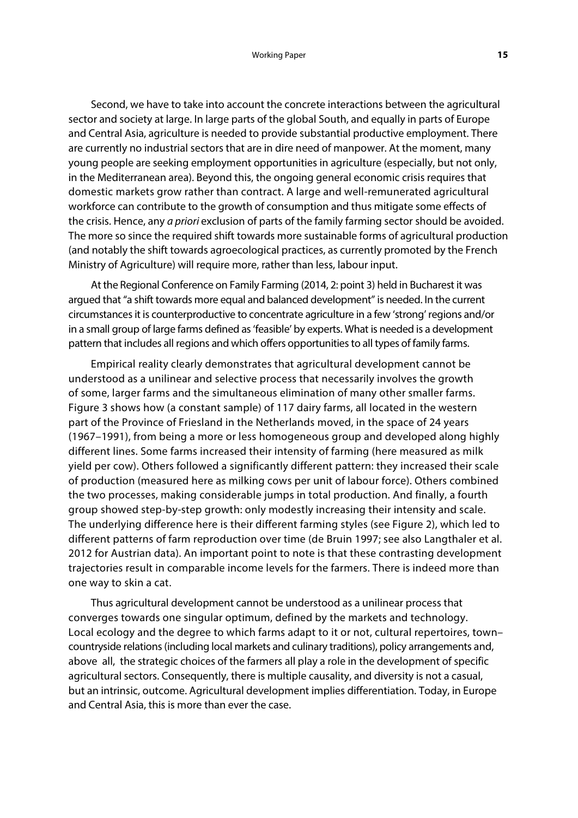Second, we have to take into account the concrete interactions between the agricultural sector and society at large. In large parts of the global South, and equally in parts of Europe and Central Asia, agriculture is needed to provide substantial productive employment. There are currently no industrial sectors that are in dire need of manpower. At the moment, many young people are seeking employment opportunities in agriculture (especially, but not only, in the Mediterranean area). Beyond this, the ongoing general economic crisis requires that domestic markets grow rather than contract. A large and well-remunerated agricultural workforce can contribute to the growth of consumption and thus mitigate some effects of the crisis. Hence, any *a priori* exclusion of parts of the family farming sector should be avoided. The more so since the required shift towards more sustainable forms of agricultural production (and notably the shift towards agroecological practices, as currently promoted by the French Ministry of Agriculture) will require more, rather than less, labour input.

At the Regional Conference on Family Farming (2014, 2: point 3) held in Bucharest it was argued that "a shift towards more equal and balanced development" is needed. In the current circumstances it is counterproductive to concentrate agriculture in a few 'strong' regions and/or in a small group of large farms defined as 'feasible' by experts. What is needed is a development pattern that includes all regions and which offers opportunities to all types of family farms.

Empirical reality clearly demonstrates that agricultural development cannot be understood as a unilinear and selective process that necessarily involves the growth of some, larger farms and the simultaneous elimination of many other smaller farms. Figure 3 shows how (a constant sample) of 117 dairy farms, all located in the western part of the Province of Friesland in the Netherlands moved, in the space of 24 years (1967–1991), from being a more or less homogeneous group and developed along highly different lines. Some farms increased their intensity of farming (here measured as milk yield per cow). Others followed a significantly different pattern: they increased their scale of production (measured here as milking cows per unit of labour force). Others combined the two processes, making considerable jumps in total production. And finally, a fourth group showed step-by-step growth: only modestly increasing their intensity and scale. The underlying difference here is their different farming styles (see Figure 2), which led to different patterns of farm reproduction over time (de Bruin 1997; see also Langthaler et al. 2012 for Austrian data). An important point to note is that these contrasting development trajectories result in comparable income levels for the farmers. There is indeed more than one way to skin a cat.

Thus agricultural development cannot be understood as a unilinear process that converges towards one singular optimum, defined by the markets and technology. Local ecology and the degree to which farms adapt to it or not, cultural repertoires, town– countryside relations (including local markets and culinary traditions), policy arrangements and, above all, the strategic choices of the farmers all play a role in the development of specific agricultural sectors. Consequently, there is multiple causality, and diversity is not a casual, but an intrinsic, outcome. Agricultural development implies differentiation. Today, in Europe and Central Asia, this is more than ever the case.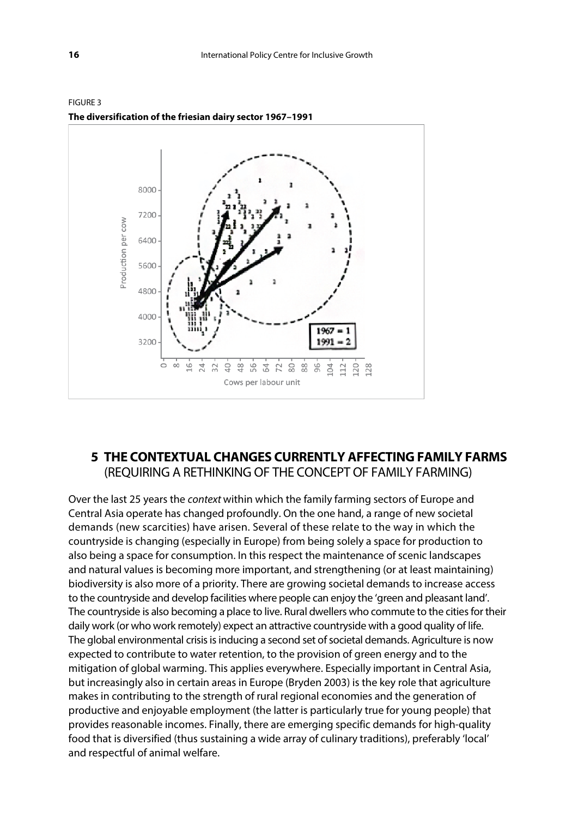

FIGURE 3 **The diversification of the friesian dairy sector 1967–1991**

# **5 THE CONTEXTUAL CHANGES CURRENTLY AFFECTING FAMILY FARMS**  (REQUIRING A RETHINKING OF THE CONCEPT OF FAMILY FARMING)

Over the last 25 years the *context* within which the family farming sectors of Europe and Central Asia operate has changed profoundly. On the one hand, a range of new societal demands (new scarcities) have arisen. Several of these relate to the way in which the countryside is changing (especially in Europe) from being solely a space for production to also being a space for consumption. In this respect the maintenance of scenic landscapes and natural values is becoming more important, and strengthening (or at least maintaining) biodiversity is also more of a priority. There are growing societal demands to increase access to the countryside and develop facilities where people can enjoy the 'green and pleasant land'. The countryside is also becoming a place to live. Rural dwellers who commute to the cities for their daily work (or who work remotely) expect an attractive countryside with a good quality of life. The global environmental crisis is inducing a second set of societal demands. Agriculture is now expected to contribute to water retention, to the provision of green energy and to the mitigation of global warming. This applies everywhere. Especially important in Central Asia, but increasingly also in certain areas in Europe (Bryden 2003) is the key role that agriculture makes in contributing to the strength of rural regional economies and the generation of productive and enjoyable employment (the latter is particularly true for young people) that provides reasonable incomes. Finally, there are emerging specific demands for high-quality food that is diversified (thus sustaining a wide array of culinary traditions), preferably 'local' and respectful of animal welfare.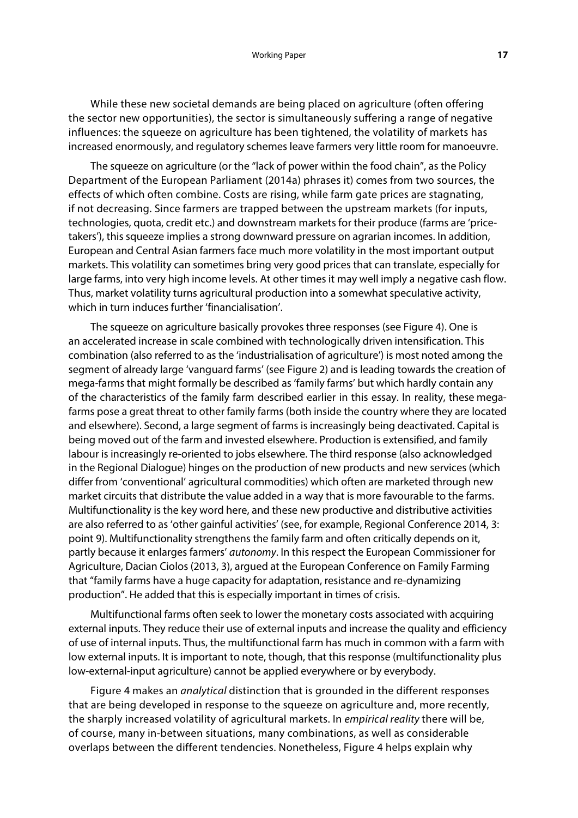While these new societal demands are being placed on agriculture (often offering the sector new opportunities), the sector is simultaneously suffering a range of negative influences: the squeeze on agriculture has been tightened, the volatility of markets has increased enormously, and regulatory schemes leave farmers very little room for manoeuvre.

The squeeze on agriculture (or the "lack of power within the food chain", as the Policy Department of the European Parliament (2014a) phrases it) comes from two sources, the effects of which often combine. Costs are rising, while farm gate prices are stagnating, if not decreasing. Since farmers are trapped between the upstream markets (for inputs, technologies, quota, credit etc.) and downstream markets for their produce (farms are 'pricetakers'), this squeeze implies a strong downward pressure on agrarian incomes. In addition, European and Central Asian farmers face much more volatility in the most important output markets. This volatility can sometimes bring very good prices that can translate, especially for large farms, into very high income levels. At other times it may well imply a negative cash flow. Thus, market volatility turns agricultural production into a somewhat speculative activity, which in turn induces further 'financialisation'.

The squeeze on agriculture basically provokes three responses (see Figure 4). One is an accelerated increase in scale combined with technologically driven intensification. This combination (also referred to as the 'industrialisation of agriculture') is most noted among the segment of already large 'vanguard farms' (see Figure 2) and is leading towards the creation of mega-farms that might formally be described as 'family farms' but which hardly contain any of the characteristics of the family farm described earlier in this essay. In reality, these megafarms pose a great threat to other family farms (both inside the country where they are located and elsewhere). Second, a large segment of farms is increasingly being deactivated. Capital is being moved out of the farm and invested elsewhere. Production is extensified, and family labour is increasingly re-oriented to jobs elsewhere. The third response (also acknowledged in the Regional Dialogue) hinges on the production of new products and new services (which differ from 'conventional' agricultural commodities) which often are marketed through new market circuits that distribute the value added in a way that is more favourable to the farms. Multifunctionality is the key word here, and these new productive and distributive activities are also referred to as 'other gainful activities' (see, for example, Regional Conference 2014, 3: point 9). Multifunctionality strengthens the family farm and often critically depends on it, partly because it enlarges farmers' *autonomy*. In this respect the European Commissioner for Agriculture, Dacian Ciolos (2013, 3), argued at the European Conference on Family Farming that "family farms have a huge capacity for adaptation, resistance and re-dynamizing production". He added that this is especially important in times of crisis.

Multifunctional farms often seek to lower the monetary costs associated with acquiring external inputs. They reduce their use of external inputs and increase the quality and efficiency of use of internal inputs. Thus, the multifunctional farm has much in common with a farm with low external inputs. It is important to note, though, that this response (multifunctionality plus low-external-input agriculture) cannot be applied everywhere or by everybody.

Figure 4 makes an *analytical* distinction that is grounded in the different responses that are being developed in response to the squeeze on agriculture and, more recently, the sharply increased volatility of agricultural markets. In *empirical reality* there will be, of course, many in-between situations, many combinations, as well as considerable overlaps between the different tendencies. Nonetheless, Figure 4 helps explain why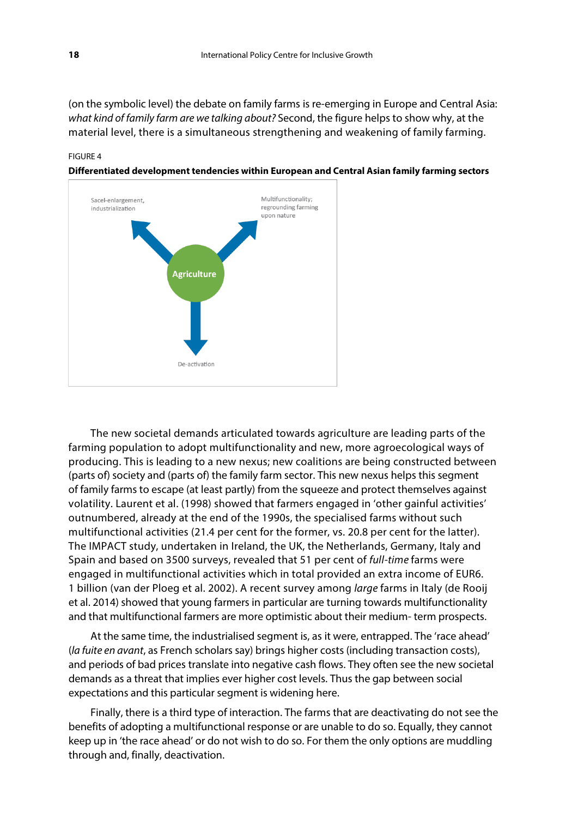(on the symbolic level) the debate on family farms is re-emerging in Europe and Central Asia: *what kind of family farm are we talking about?* Second, the figure helps to show why, at the material level, there is a simultaneous strengthening and weakening of family farming.



**Differentiated development tendencies within European and Central Asian family farming sectors**

The new societal demands articulated towards agriculture are leading parts of the farming population to adopt multifunctionality and new, more agroecological ways of producing. This is leading to a new nexus; new coalitions are being constructed between (parts of) society and (parts of) the family farm sector. This new nexus helps this segment of family farms to escape (at least partly) from the squeeze and protect themselves against volatility. Laurent et al. (1998) showed that farmers engaged in 'other gainful activities' outnumbered, already at the end of the 1990s, the specialised farms without such multifunctional activities (21.4 per cent for the former, vs. 20.8 per cent for the latter). The IMPACT study, undertaken in Ireland, the UK, the Netherlands, Germany, Italy and Spain and based on 3500 surveys, revealed that 51 per cent of *full-time* farms were engaged in multifunctional activities which in total provided an extra income of EUR6. 1 billion (van der Ploeg et al. 2002). A recent survey among *large* farms in Italy (de Rooij et al. 2014) showed that young farmers in particular are turning towards multifunctionality and that multifunctional farmers are more optimistic about their medium- term prospects.

At the same time, the industrialised segment is, as it were, entrapped. The 'race ahead' (*la fuite en avant*, as French scholars say) brings higher costs (including transaction costs), and periods of bad prices translate into negative cash flows. They often see the new societal demands as a threat that implies ever higher cost levels. Thus the gap between social expectations and this particular segment is widening here.

Finally, there is a third type of interaction. The farms that are deactivating do not see the benefits of adopting a multifunctional response or are unable to do so. Equally, they cannot keep up in 'the race ahead' or do not wish to do so. For them the only options are muddling through and, finally, deactivation.

FIGURE 4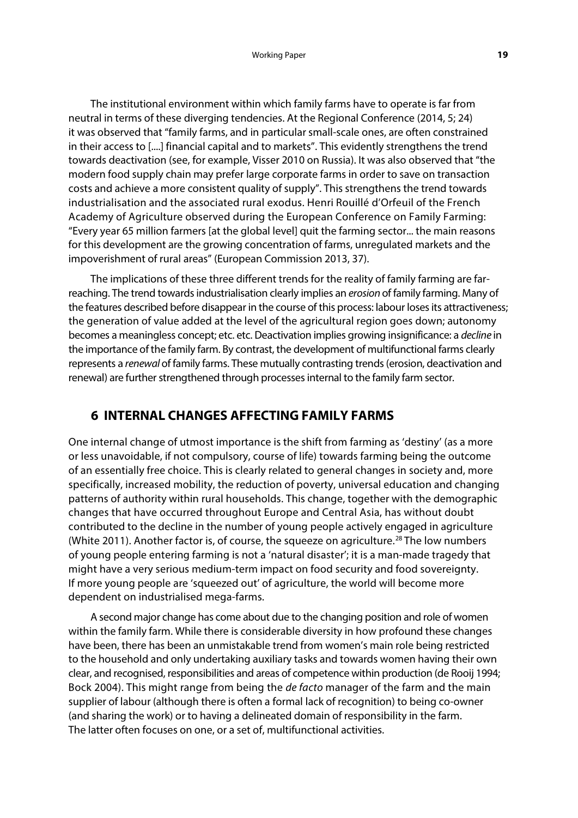The institutional environment within which family farms have to operate is far from neutral in terms of these diverging tendencies. At the Regional Conference (2014, 5; 24) it was observed that "family farms, and in particular small-scale ones, are often constrained in their access to [....] financial capital and to markets". This evidently strengthens the trend towards deactivation (see, for example, Visser 2010 on Russia). It was also observed that "the modern food supply chain may prefer large corporate farms in order to save on transaction costs and achieve a more consistent quality of supply". This strengthens the trend towards industrialisation and the associated rural exodus. Henri Rouillé d'Orfeuil of the French Academy of Agriculture observed during the European Conference on Family Farming: "Every year 65 million farmers [at the global level] quit the farming sector... the main reasons for this development are the growing concentration of farms, unregulated markets and the impoverishment of rural areas" (European Commission 2013, 37).

The implications of these three different trends for the reality of family farming are farreaching. The trend towards industrialisation clearly implies an *erosion* of family farming. Many of the features described before disappear in the course of this process: labour loses its attractiveness; the generation of value added at the level of the agricultural region goes down; autonomy becomes a meaningless concept; etc. etc. Deactivation implies growing insignificance: a *decline* in the importance of the family farm. By contrast, the development of multifunctional farms clearly represents a *renewal* of family farms. These mutually contrasting trends (erosion, deactivation and renewal) are further strengthened through processes internal to the family farm sector.

# **6 INTERNAL CHANGES AFFECTING FAMILY FARMS**

One internal change of utmost importance is the shift from farming as 'destiny' (as a more or less unavoidable, if not compulsory, course of life) towards farming being the outcome of an essentially free choice. This is clearly related to general changes in society and, more specifically, increased mobility, the reduction of poverty, universal education and changing patterns of authority within rural households. This change, together with the demographic changes that have occurred throughout Europe and Central Asia, has without doubt contributed to the decline in the number of young people actively engaged in agriculture (White 2011). Another factor is, of course, the squeeze on agriculture.<sup>[28](#page-38-25)</sup> The low numbers of young people entering farming is not a 'natural disaster'; it is a man-made tragedy that might have a very serious medium-term impact on food security and food sovereignty. If more young people are 'squeezed out' of agriculture, the world will become more dependent on industrialised mega-farms.

A second major change has come about due to the changing position and role of women within the family farm. While there is considerable diversity in how profound these changes have been, there has been an unmistakable trend from women's main role being restricted to the household and only undertaking auxiliary tasks and towards women having their own clear, and recognised, responsibilities and areas of competence within production (de Rooij 1994; Bock 2004). This might range from being the *de facto* manager of the farm and the main supplier of labour (although there is often a formal lack of recognition) to being co-owner (and sharing the work) or to having a delineated domain of responsibility in the farm. The latter often focuses on one, or a set of, multifunctional activities.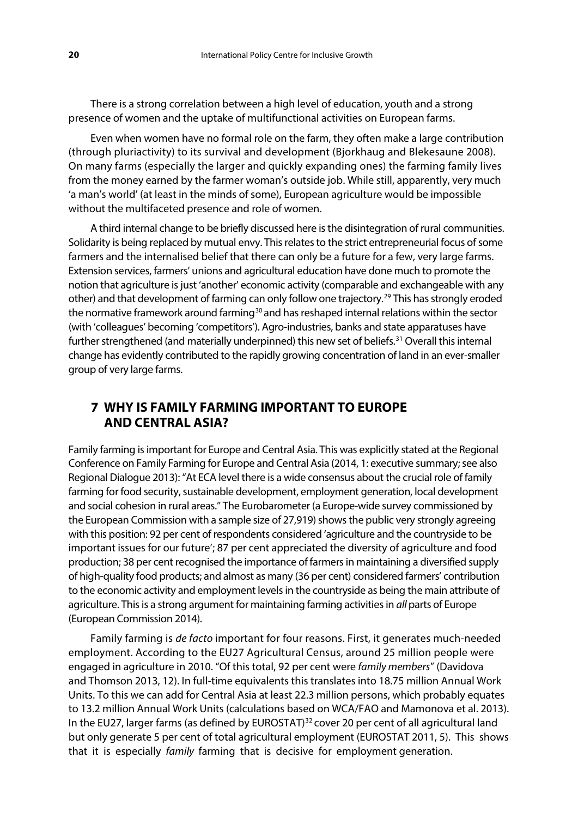There is a strong correlation between a high level of education, youth and a strong presence of women and the uptake of multifunctional activities on European farms.

Even when women have no formal role on the farm, they often make a large contribution (through pluriactivity) to its survival and development (Bjorkhaug and Blekesaune 2008). On many farms (especially the larger and quickly expanding ones) the farming family lives from the money earned by the farmer woman's outside job. While still, apparently, very much 'a man's world' (at least in the minds of some), European agriculture would be impossible without the multifaceted presence and role of women.

A third internal change to be briefly discussed here is the disintegration of rural communities. Solidarity is being replaced by mutual envy. This relates to the strict entrepreneurial focus of some farmers and the internalised belief that there can only be a future for a few, very large farms. Extension services, farmers' unions and agricultural education have done much to promote the notion that agriculture is just 'another' economic activity (comparable and exchangeable with any other) and that development of farming can only follow one trajectory.[29](#page-38-26) This has strongly eroded the normative framework around farming<sup>[30](#page-38-27)</sup> and has reshaped internal relations within the sector (with 'colleagues' becoming 'competitors'). Agro-industries, banks and state apparatuses have further strengthened (and materially underpinned) this new set of beliefs.<sup>[31](#page-38-28)</sup> Overall this internal change has evidently contributed to the rapidly growing concentration of land in an ever-smaller group of very large farms.

# **7 WHY IS FAMILY FARMING IMPORTANT TO EUROPE AND CENTRAL ASIA?**

Family farming is important for Europe and Central Asia. This was explicitly stated at the Regional Conference on Family Farming for Europe and Central Asia (2014, 1: executive summary; see also Regional Dialogue 2013): "At ECA level there is a wide consensus about the crucial role of family farming for food security, sustainable development, employment generation, local development and social cohesion in rural areas." The Eurobarometer (a Europe-wide survey commissioned by the European Commission with a sample size of 27,919) shows the public very strongly agreeing with this position: 92 per cent of respondents considered 'agriculture and the countryside to be important issues for our future'; 87 per cent appreciated the diversity of agriculture and food production; 38 per cent recognised the importance of farmers in maintaining a diversified supply of high-quality food products; and almost as many (36 per cent) considered farmers' contribution to the economic activity and employment levels in the countryside as being the main attribute of agriculture. This is a strong argument for maintaining farming activities in *all* parts of Europe (European Commission 2014).

Family farming is *de facto* important for four reasons. First, it generates much-needed employment. According to the EU27 Agricultural Census, around 25 million people were engaged in agriculture in 2010. "Of this total, 92 per cent were *family members*" (Davidova and Thomson 2013, 12). In full-time equivalents this translates into 18.75 million Annual Work Units. To this we can add for Central Asia at least 22.3 million persons, which probably equates to 13.2 million Annual Work Units (calculations based on WCA/FAO and Mamonova et al. 2013). In the EU27, larger farms (as defined by EUROSTAT)<sup>[32](#page-38-29)</sup> cover 20 per cent of all agricultural land but only generate 5 per cent of total agricultural employment (EUROSTAT 2011, 5). This shows that it is especially *family* farming that is decisive for employment generation.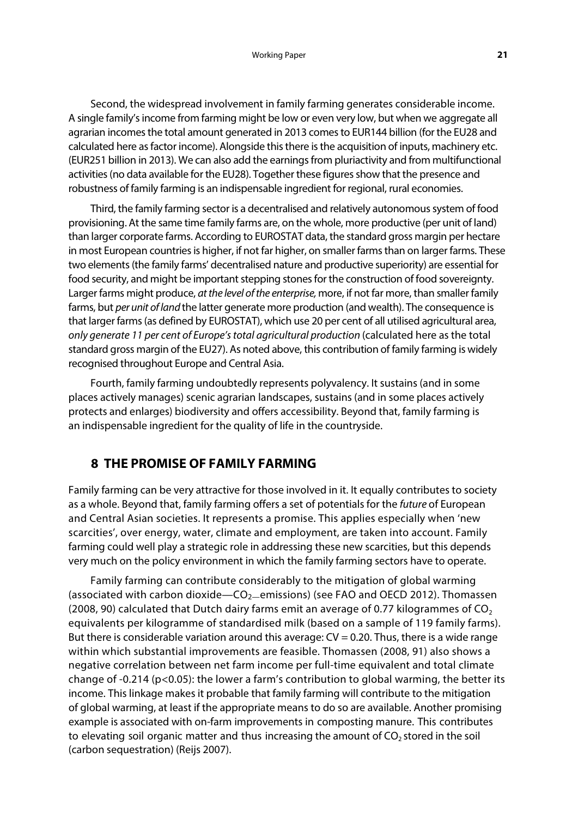Second, the widespread involvement in family farming generates considerable income. A single family's income from farming might be low or even very low, but when we aggregate all agrarian incomes the total amount generated in 2013 comes to EUR144 billion (for the EU28 and calculated here as factor income). Alongside this there is the acquisition of inputs, machinery etc. (EUR251 billion in 2013). We can also add the earnings from pluriactivity and from multifunctional activities (no data available for the EU28). Together these figures show that the presence and robustness of family farming is an indispensable ingredient for regional, rural economies.

Third, the family farming sector is a decentralised and relatively autonomous system of food provisioning. At the same time family farms are, on the whole, more productive (per unit of land) than larger corporate farms. According to EUROSTAT data, the standard gross margin per hectare in most European countries is higher, if not far higher, on smaller farms than on larger farms. These two elements (the family farms' decentralised nature and productive superiority) are essential for food security, and might be important stepping stones for the construction of food sovereignty. Larger farms might produce, *at the level of the enterprise,* more, if not far more, than smaller family farms, but *per unit of land* the latter generate more production (and wealth). The consequence is that larger farms (as defined by EUROSTAT), which use 20 per cent of all utilised agricultural area, *only generate 11 per cent of Europe's total agricultural production* (calculated here as the total standard gross margin of the EU27). As noted above, this contribution of family farming is widely recognised throughout Europe and Central Asia.

Fourth, family farming undoubtedly represents polyvalency. It sustains (and in some places actively manages) scenic agrarian landscapes, sustains (and in some places actively protects and enlarges) biodiversity and offers accessibility. Beyond that, family farming is an indispensable ingredient for the quality of life in the countryside.

# **8 THE PROMISE OF FAMILY FARMING**

Family farming can be very attractive for those involved in it. It equally contributes to society as a whole. Beyond that, family farming offers a set of potentials for the *future* of European and Central Asian societies. It represents a promise. This applies especially when 'new scarcities', over energy, water, climate and employment, are taken into account. Family farming could well play a strategic role in addressing these new scarcities, but this depends very much on the policy environment in which the family farming sectors have to operate.

Family farming can contribute considerably to the mitigation of global warming (associated with carbon dioxide—CO<sub>2</sub>—emissions) (see FAO and OECD 2012). Thomassen (2008, 90) calculated that Dutch dairy farms emit an average of 0.77 kilogrammes of  $CO<sub>2</sub>$ equivalents per kilogramme of standardised milk (based on a sample of 119 family farms). But there is considerable variation around this average:  $CV = 0.20$ . Thus, there is a wide range within which substantial improvements are feasible. Thomassen (2008, 91) also shows a negative correlation between net farm income per full-time equivalent and total climate change of -0.214 (p<0.05): the lower a farm's contribution to global warming, the better its income. This linkage makes it probable that family farming will contribute to the mitigation of global warming, at least if the appropriate means to do so are available. Another promising example is associated with on-farm improvements in composting manure. This contributes to elevating soil organic matter and thus increasing the amount of  $CO<sub>2</sub>$  stored in the soil (carbon sequestration) (Reijs 2007).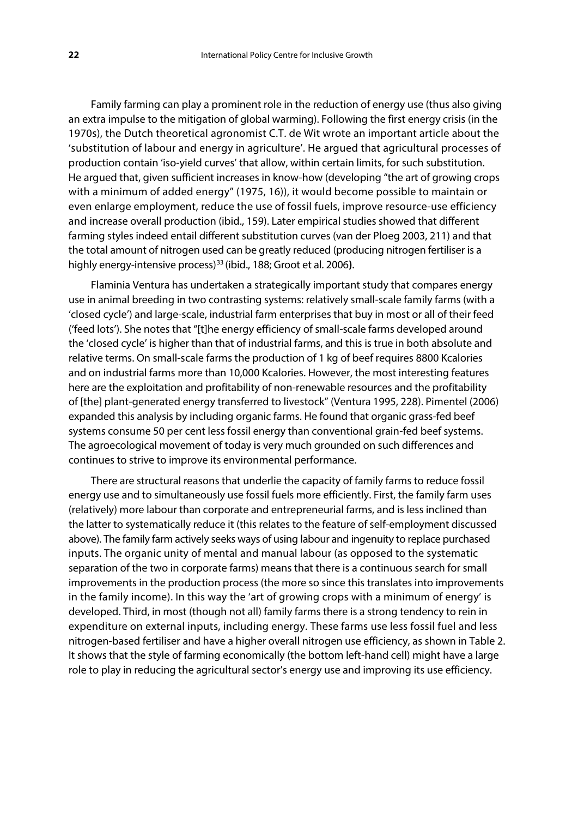Family farming can play a prominent role in the reduction of energy use (thus also giving an extra impulse to the mitigation of global warming). Following the first energy crisis (in the 1970s), the Dutch theoretical agronomist C.T. de Wit wrote an important article about the 'substitution of labour and energy in agriculture'. He argued that agricultural processes of production contain 'iso-yield curves' that allow, within certain limits, for such substitution. He argued that, given sufficient increases in know-how (developing "the art of growing crops with a minimum of added energy" (1975, 16)), it would become possible to maintain or even enlarge employment, reduce the use of fossil fuels, improve resource-use efficiency and increase overall production (ibid., 159). Later empirical studies showed that different farming styles indeed entail different substitution curves (van der Ploeg 2003, 211) and that the total amount of nitrogen used can be greatly reduced (producing nitrogen fertiliser is a highly energy-intensive process)[33](#page-38-30) (ibid., 188; Groot et al. 2006**)**.

Flaminia Ventura has undertaken a strategically important study that compares energy use in animal breeding in two contrasting systems: relatively small-scale family farms (with a 'closed cycle') and large-scale, industrial farm enterprises that buy in most or all of their feed ('feed lots'). She notes that "[t]he energy efficiency of small-scale farms developed around the 'closed cycle' is higher than that of industrial farms, and this is true in both absolute and relative terms. On small-scale farms the production of 1 kg of beef requires 8800 Kcalories and on industrial farms more than 10,000 Kcalories. However, the most interesting features here are the exploitation and profitability of non-renewable resources and the profitability of [the] plant-generated energy transferred to livestock" (Ventura 1995, 228). Pimentel (2006) expanded this analysis by including organic farms. He found that organic grass-fed beef systems consume 50 per cent less fossil energy than conventional grain-fed beef systems. The agroecological movement of today is very much grounded on such differences and continues to strive to improve its environmental performance.

There are structural reasons that underlie the capacity of family farms to reduce fossil energy use and to simultaneously use fossil fuels more efficiently. First, the family farm uses (relatively) more labour than corporate and entrepreneurial farms, and is less inclined than the latter to systematically reduce it (this relates to the feature of self-employment discussed above). The family farm actively seeks ways of using labour and ingenuity to replace purchased inputs. The organic unity of mental and manual labour (as opposed to the systematic separation of the two in corporate farms) means that there is a continuous search for small improvements in the production process (the more so since this translates into improvements in the family income). In this way the 'art of growing crops with a minimum of energy' is developed. Third, in most (though not all) family farms there is a strong tendency to rein in expenditure on external inputs, including energy. These farms use less fossil fuel and less nitrogen-based fertiliser and have a higher overall nitrogen use efficiency, as shown in Table 2. It shows that the style of farming economically (the bottom left-hand cell) might have a large role to play in reducing the agricultural sector's energy use and improving its use efficiency.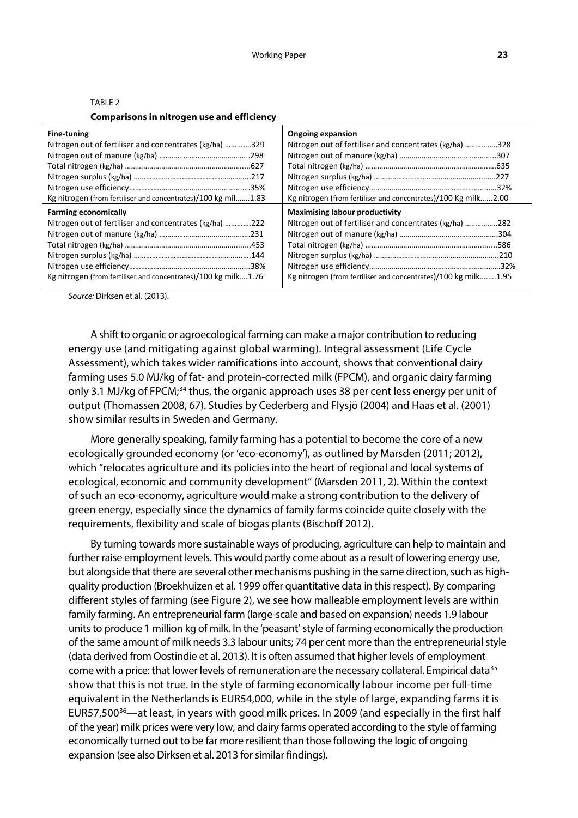| <b>Comparisons in nitrogen use and efficiency</b>             |                                                                |  |
|---------------------------------------------------------------|----------------------------------------------------------------|--|
| Fine-tuning                                                   | <b>Ongoing expansion</b>                                       |  |
| Nitrogen out of fertiliser and concentrates (kg/ha) 329       | Nitrogen out of fertiliser and concentrates (kg/ha) 328        |  |
|                                                               |                                                                |  |
|                                                               |                                                                |  |
|                                                               |                                                                |  |
|                                                               |                                                                |  |
| Kg nitrogen (from fertiliser and concentrates)/100 kg mil1.83 | Kg nitrogen (from fertiliser and concentrates)/100 Kg milk2.00 |  |
| <b>Farming economically</b>                                   | <b>Maximising labour productivity</b>                          |  |
| Nitrogen out of fertiliser and concentrates (kg/ha) 222       | Nitrogen out of fertiliser and concentrates (kg/ha) 282        |  |
|                                                               |                                                                |  |
|                                                               |                                                                |  |
|                                                               |                                                                |  |

Nitrogen use efficiency………………………………………………….…….32% Kg nitrogen (from fertiliser and concentrates)/100 kg milk….….1.95

#### TARI F<sub>2</sub>

*Source:* Dirksen et al. (2013).

Nitrogen use efficiency…………………………………………………...38% Kg nitrogen (from fertiliser and concentrates)/100 kg milk….1.76

A shift to organic or agroecological farming can make a major contribution to reducing energy use (and mitigating against global warming). Integral assessment (Life Cycle Assessment), which takes wider ramifications into account, shows that conventional dairy farming uses 5.0 MJ/kg of fat- and protein-corrected milk (FPCM), and organic dairy farming only 3.1 MJ/kg of FPCM;<sup>[34](#page-38-31)</sup> thus, the organic approach uses 38 per cent less energy per unit of output (Thomassen 2008, 67). Studies by Cederberg and Flysjö (2004) and Haas et al. (2001) show similar results in Sweden and Germany.

More generally speaking, family farming has a potential to become the core of a new ecologically grounded economy (or 'eco-economy'), as outlined by Marsden (2011; 2012), which "relocates agriculture and its policies into the heart of regional and local systems of ecological, economic and community development" (Marsden 2011, 2). Within the context of such an eco-economy, agriculture would make a strong contribution to the delivery of green energy, especially since the dynamics of family farms coincide quite closely with the requirements, flexibility and scale of biogas plants (Bischoff 2012).

By turning towards more sustainable ways of producing, agriculture can help to maintain and further raise employment levels. This would partly come about as a result of lowering energy use, but alongside that there are several other mechanisms pushing in the same direction, such as highquality production (Broekhuizen et al. 1999 offer quantitative data in this respect). By comparing different styles of farming (see Figure 2), we see how malleable employment levels are within family farming. An entrepreneurial farm (large-scale and based on expansion) needs 1.9 labour units to produce 1 million kg of milk. In the 'peasant' style of farming economically the production of the same amount of milk needs 3.3 labour units; 74 per cent more than the entrepreneurial style (data derived from Oostindie et al. 2013). It is often assumed that higher levels of employment come with a price: that lower levels of remuneration are the necessary collateral. Empirical data<sup>[35](#page-38-32)</sup> show that this is not true. In the style of farming economically labour income per full-time equivalent in the Netherlands is EUR54,000, while in the style of large, expanding farms it is EUR57,500<sup>[36](#page-38-33)</sup>—at least, in years with good milk prices. In 2009 (and especially in the first half of the year) milk prices were very low, and dairy farms operated according to the style of farming economically turned out to be far more resilient than those following the logic of ongoing expansion (see also Dirksen et al. 2013 for similar findings).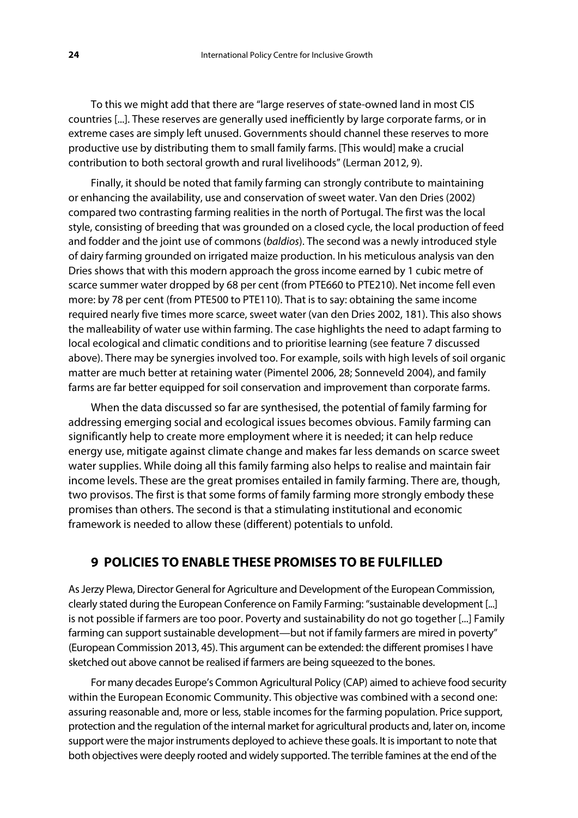To this we might add that there are "large reserves of state-owned land in most CIS countries [...]. These reserves are generally used inefficiently by large corporate farms, or in extreme cases are simply left unused. Governments should channel these reserves to more productive use by distributing them to small family farms. [This would] make a crucial contribution to both sectoral growth and rural livelihoods" (Lerman 2012, 9).

Finally, it should be noted that family farming can strongly contribute to maintaining or enhancing the availability, use and conservation of sweet water. Van den Dries (2002) compared two contrasting farming realities in the north of Portugal. The first was the local style, consisting of breeding that was grounded on a closed cycle, the local production of feed and fodder and the joint use of commons (*baldios*). The second was a newly introduced style of dairy farming grounded on irrigated maize production. In his meticulous analysis van den Dries shows that with this modern approach the gross income earned by 1 cubic metre of scarce summer water dropped by 68 per cent (from PTE660 to PTE210). Net income fell even more: by 78 per cent (from PTE500 to PTE110). That is to say: obtaining the same income required nearly five times more scarce, sweet water (van den Dries 2002, 181). This also shows the malleability of water use within farming. The case highlights the need to adapt farming to local ecological and climatic conditions and to prioritise learning (see feature 7 discussed above). There may be synergies involved too. For example, soils with high levels of soil organic matter are much better at retaining water (Pimentel 2006, 28; Sonneveld 2004), and family farms are far better equipped for soil conservation and improvement than corporate farms.

When the data discussed so far are synthesised, the potential of family farming for addressing emerging social and ecological issues becomes obvious. Family farming can significantly help to create more employment where it is needed; it can help reduce energy use, mitigate against climate change and makes far less demands on scarce sweet water supplies. While doing all this family farming also helps to realise and maintain fair income levels. These are the great promises entailed in family farming. There are, though, two provisos. The first is that some forms of family farming more strongly embody these promises than others. The second is that a stimulating institutional and economic framework is needed to allow these (different) potentials to unfold.

# **9 POLICIES TO ENABLE THESE PROMISES TO BE FULFILLED**

As Jerzy Plewa, Director General for Agriculture and Development of the European Commission, clearly stated during the European Conference on Family Farming: "sustainable development [...] is not possible if farmers are too poor. Poverty and sustainability do not go together [...] Family farming can support sustainable development—but not if family farmers are mired in poverty" (European Commission 2013, 45). This argument can be extended: the different promises I have sketched out above cannot be realised if farmers are being squeezed to the bones.

For many decades Europe's Common Agricultural Policy (CAP) aimed to achieve food security within the European Economic Community. This objective was combined with a second one: assuring reasonable and, more or less, stable incomes for the farming population. Price support, protection and the regulation of the internal market for agricultural products and, later on, income support were the major instruments deployed to achieve these goals. It is important to note that both objectives were deeply rooted and widely supported. The terrible famines at the end of the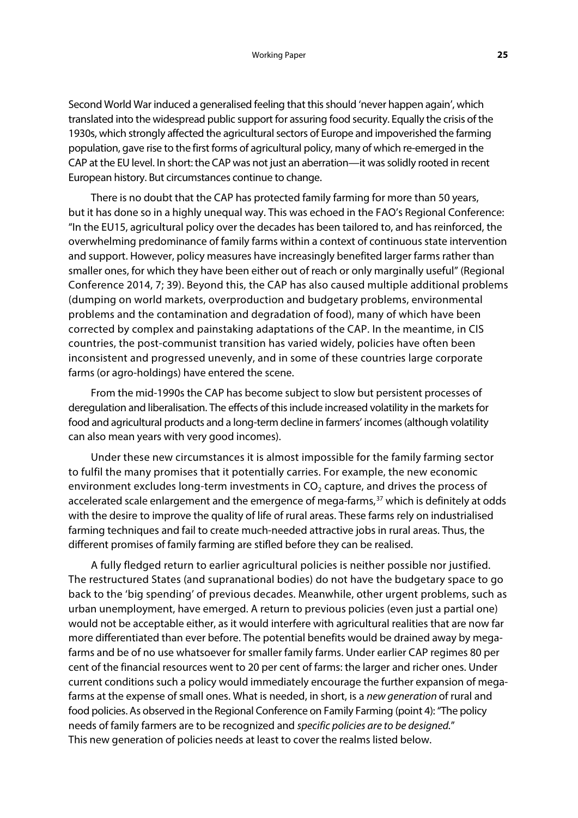Second World War induced a generalised feeling that this should 'never happen again', which translated into the widespread public support for assuring food security. Equally the crisis of the 1930s, which strongly affected the agricultural sectors of Europe and impoverished the farming population, gave rise to the first forms of agricultural policy, many of which re-emerged in the CAP at the EU level. In short: the CAP was not just an aberration—it was solidly rooted in recent European history. But circumstances continue to change.

There is no doubt that the CAP has protected family farming for more than 50 years, but it has done so in a highly unequal way. This was echoed in the FAO's Regional Conference: "In the EU15, agricultural policy over the decades has been tailored to, and has reinforced, the overwhelming predominance of family farms within a context of continuous state intervention and support. However, policy measures have increasingly benefited larger farms rather than smaller ones, for which they have been either out of reach or only marginally useful" (Regional Conference 2014, 7; 39). Beyond this, the CAP has also caused multiple additional problems (dumping on world markets, overproduction and budgetary problems, environmental problems and the contamination and degradation of food), many of which have been corrected by complex and painstaking adaptations of the CAP. In the meantime, in CIS countries, the post-communist transition has varied widely, policies have often been inconsistent and progressed unevenly, and in some of these countries large corporate farms (or agro-holdings) have entered the scene.

From the mid-1990s the CAP has become subject to slow but persistent processes of deregulation and liberalisation. The effects of this include increased volatility in the markets for food and agricultural products and a long-term decline in farmers' incomes (although volatility can also mean years with very good incomes).

Under these new circumstances it is almost impossible for the family farming sector to fulfil the many promises that it potentially carries. For example, the new economic environment excludes long-term investments in  $CO<sub>2</sub>$  capture, and drives the process of accelerated scale enlargement and the emergence of mega-farms,<sup>[37](#page-38-34)</sup> which is definitely at odds with the desire to improve the quality of life of rural areas. These farms rely on industrialised farming techniques and fail to create much-needed attractive jobs in rural areas. Thus, the different promises of family farming are stifled before they can be realised.

A fully fledged return to earlier agricultural policies is neither possible nor justified. The restructured States (and supranational bodies) do not have the budgetary space to go back to the 'big spending' of previous decades. Meanwhile, other urgent problems, such as urban unemployment, have emerged. A return to previous policies (even just a partial one) would not be acceptable either, as it would interfere with agricultural realities that are now far more differentiated than ever before. The potential benefits would be drained away by megafarms and be of no use whatsoever for smaller family farms. Under earlier CAP regimes 80 per cent of the financial resources went to 20 per cent of farms: the larger and richer ones. Under current conditions such a policy would immediately encourage the further expansion of megafarms at the expense of small ones. What is needed, in short, is a *new generation* of rural and food policies. As observed in the Regional Conference on Family Farming (point 4): "The policy needs of family farmers are to be recognized and *specific policies are to be designed.*" This new generation of policies needs at least to cover the realms listed below.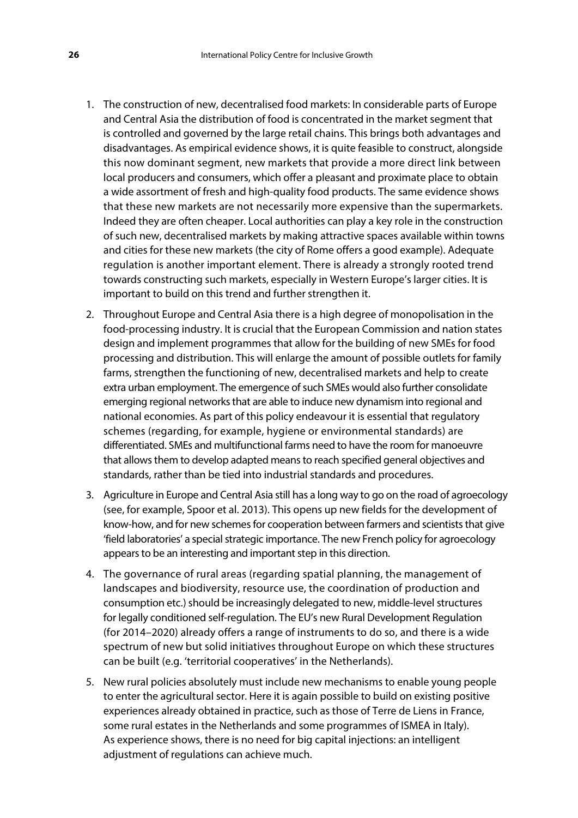- 1. The construction of new, decentralised food markets: In considerable parts of Europe and Central Asia the distribution of food is concentrated in the market segment that is controlled and governed by the large retail chains. This brings both advantages and disadvantages. As empirical evidence shows, it is quite feasible to construct, alongside this now dominant segment, new markets that provide a more direct link between local producers and consumers, which offer a pleasant and proximate place to obtain a wide assortment of fresh and high-quality food products. The same evidence shows that these new markets are not necessarily more expensive than the supermarkets. Indeed they are often cheaper. Local authorities can play a key role in the construction of such new, decentralised markets by making attractive spaces available within towns and cities for these new markets (the city of Rome offers a good example). Adequate regulation is another important element. There is already a strongly rooted trend towards constructing such markets, especially in Western Europe's larger cities. It is important to build on this trend and further strengthen it.
- 2. Throughout Europe and Central Asia there is a high degree of monopolisation in the food-processing industry. It is crucial that the European Commission and nation states design and implement programmes that allow for the building of new SMEs for food processing and distribution. This will enlarge the amount of possible outlets for family farms, strengthen the functioning of new, decentralised markets and help to create extra urban employment. The emergence of such SMEs would also further consolidate emerging regional networks that are able to induce new dynamism into regional and national economies. As part of this policy endeavour it is essential that regulatory schemes (regarding, for example, hygiene or environmental standards) are differentiated. SMEs and multifunctional farms need to have the room for manoeuvre that allows them to develop adapted means to reach specified general objectives and standards, rather than be tied into industrial standards and procedures.
- 3. Agriculture in Europe and Central Asia still has a long way to go on the road of agroecology (see, for example, Spoor et al. 2013). This opens up new fields for the development of know-how, and for new schemes for cooperation between farmers and scientists that give 'field laboratories' a special strategic importance. The new French policy for agroecology appears to be an interesting and important step in this direction.
- 4. The governance of rural areas (regarding spatial planning, the management of landscapes and biodiversity, resource use, the coordination of production and consumption etc.) should be increasingly delegated to new, middle-level structures for legally conditioned self-regulation. The EU's new Rural Development Regulation (for 2014–2020) already offers a range of instruments to do so, and there is a wide spectrum of new but solid initiatives throughout Europe on which these structures can be built (e.g. 'territorial cooperatives' in the Netherlands).
- 5. New rural policies absolutely must include new mechanisms to enable young people to enter the agricultural sector. Here it is again possible to build on existing positive experiences already obtained in practice, such as those of Terre de Liens in France, some rural estates in the Netherlands and some programmes of ISMEA in Italy). As experience shows, there is no need for big capital injections: an intelligent adjustment of regulations can achieve much.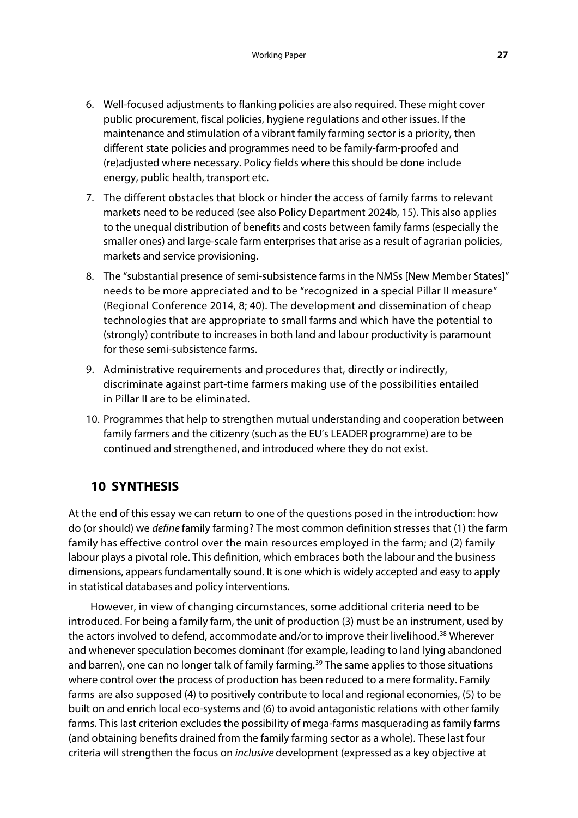- 6. Well-focused adjustments to flanking policies are also required. These might cover public procurement, fiscal policies, hygiene regulations and other issues. If the maintenance and stimulation of a vibrant family farming sector is a priority, then different state policies and programmes need to be family-farm-proofed and (re)adjusted where necessary. Policy fields where this should be done include energy, public health, transport etc.
- 7. The different obstacles that block or hinder the access of family farms to relevant markets need to be reduced (see also Policy Department 2024b, 15). This also applies to the unequal distribution of benefits and costs between family farms (especially the smaller ones) and large-scale farm enterprises that arise as a result of agrarian policies, markets and service provisioning.
- 8. The "substantial presence of semi-subsistence farms in the NMSs [New Member States]" needs to be more appreciated and to be "recognized in a special Pillar II measure" (Regional Conference 2014, 8; 40). The development and dissemination of cheap technologies that are appropriate to small farms and which have the potential to (strongly) contribute to increases in both land and labour productivity is paramount for these semi-subsistence farms.
- 9. Administrative requirements and procedures that, directly or indirectly, discriminate against part-time farmers making use of the possibilities entailed in Pillar II are to be eliminated.
- 10. Programmes that help to strengthen mutual understanding and cooperation between family farmers and the citizenry (such as the EU's LEADER programme) are to be continued and strengthened, and introduced where they do not exist.

# **10 SYNTHESIS**

At the end of this essay we can return to one of the questions posed in the introduction: how do (or should) we *define* family farming? The most common definition stresses that (1) the farm family has effective control over the main resources employed in the farm; and (2) family labour plays a pivotal role. This definition, which embraces both the labour and the business dimensions, appears fundamentally sound. It is one which is widely accepted and easy to apply in statistical databases and policy interventions.

However, in view of changing circumstances, some additional criteria need to be introduced. For being a family farm, the unit of production (3) must be an instrument, used by the actors involved to defend, accommodate and/or to improve their livelihood.<sup>[38](#page-38-35)</sup> Wherever and whenever speculation becomes dominant (for example, leading to land lying abandoned and barren), one can no longer talk of family farming.<sup>[39](#page-38-36)</sup> The same applies to those situations where control over the process of production has been reduced to a mere formality. Family farms are also supposed (4) to positively contribute to local and regional economies, (5) to be built on and enrich local eco-systems and (6) to avoid antagonistic relations with other family farms. This last criterion excludes the possibility of mega-farms masquerading as family farms (and obtaining benefits drained from the family farming sector as a whole). These last four criteria will strengthen the focus on *inclusive* development (expressed as a key objective at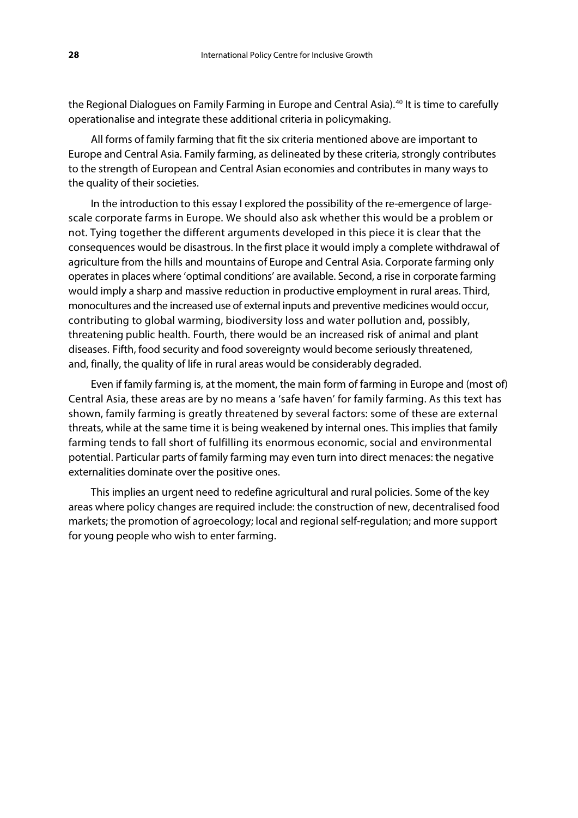the Regional Dialogues on Family Farming in Europe and Central Asia).<sup>[40](#page-38-37)</sup> It is time to carefully operationalise and integrate these additional criteria in policymaking.

All forms of family farming that fit the six criteria mentioned above are important to Europe and Central Asia. Family farming, as delineated by these criteria, strongly contributes to the strength of European and Central Asian economies and contributes in many ways to the quality of their societies.

In the introduction to this essay I explored the possibility of the re-emergence of largescale corporate farms in Europe. We should also ask whether this would be a problem or not. Tying together the different arguments developed in this piece it is clear that the consequences would be disastrous. In the first place it would imply a complete withdrawal of agriculture from the hills and mountains of Europe and Central Asia. Corporate farming only operates in places where 'optimal conditions' are available. Second, a rise in corporate farming would imply a sharp and massive reduction in productive employment in rural areas. Third, monocultures and the increased use of external inputs and preventive medicines would occur, contributing to global warming, biodiversity loss and water pollution and, possibly, threatening public health. Fourth, there would be an increased risk of animal and plant diseases. Fifth, food security and food sovereignty would become seriously threatened, and, finally, the quality of life in rural areas would be considerably degraded.

Even if family farming is, at the moment, the main form of farming in Europe and (most of) Central Asia, these areas are by no means a 'safe haven' for family farming. As this text has shown, family farming is greatly threatened by several factors: some of these are external threats, while at the same time it is being weakened by internal ones. This implies that family farming tends to fall short of fulfilling its enormous economic, social and environmental potential. Particular parts of family farming may even turn into direct menaces: the negative externalities dominate over the positive ones.

This implies an urgent need to redefine agricultural and rural policies. Some of the key areas where policy changes are required include: the construction of new, decentralised food markets; the promotion of agroecology; local and regional self-regulation; and more support for young people who wish to enter farming.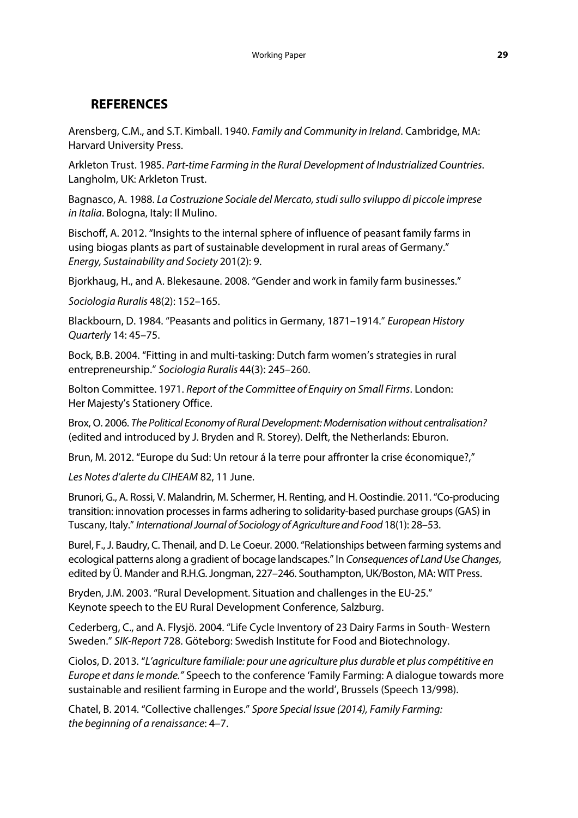# **REFERENCES**

Arensberg, C.M., and S.T. Kimball. 1940. *Family and Community in Ireland*. Cambridge, MA: Harvard University Press.

Arkleton Trust. 1985. *Part-time Farming in the Rural Development of Industrialized Countries*. Langholm, UK: Arkleton Trust.

Bagnasco, A. 1988. *La Costruzione Sociale del Mercato, studi sullo sviluppo di piccole imprese in Italia*. Bologna, Italy: Il Mulino.

Bischoff, A. 2012. "Insights to the internal sphere of influence of peasant family farms in using biogas plants as part of sustainable development in rural areas of Germany." *Energy, Sustainability and Society* 201(2): 9.

Bjorkhaug, H., and A. Blekesaune. 2008. "Gender and work in family farm businesses."

*Sociologia Ruralis* 48(2): 152–165.

Blackbourn, D. 1984. "Peasants and politics in Germany, 1871–1914." *European History Quarterly* 14: 45–75.

Bock, B.B. 2004. "Fitting in and multi-tasking: Dutch farm women's strategies in rural entrepreneurship." *Sociologia Ruralis* 44(3): 245–260.

Bolton Committee. 1971. *Report of the Committee of Enquiry on Small Firms*. London: Her Majesty's Stationery Office.

Brox, O. 2006. *The Political Economy of Rural Development: Modernisation without centralisation?* (edited and introduced by J. Bryden and R. Storey). Delft, the Netherlands: Eburon.

Brun, M. 2012. "Europe du Sud: Un retour á la terre pour affronter la crise économique?,"

*Les Notes d'alerte du CIHEAM* 82, 11 June.

Brunori, G., A. Rossi, V. Malandrin, M. Schermer, H. Renting, and H. Oostindie. 2011. "Co-producing transition: innovation processes in farms adhering to solidarity-based purchase groups (GAS) in Tuscany, Italy." *International Journal of Sociology of Agriculture and Food* 18(1): 28–53.

Burel, F., J. Baudry, C. Thenail, and D. Le Coeur. 2000. "Relationships between farming systems and ecological patterns along a gradient of bocage landscapes." In *Consequences of Land Use Changes*, edited by Ü. Mander and R.H.G. Jongman, 227–246. Southampton, UK/Boston, MA: WIT Press.

Bryden, J.M. 2003. "Rural Development. Situation and challenges in the EU-25." Keynote speech to the EU Rural Development Conference, Salzburg.

Cederberg, C., and A. Flysjö. 2004. "Life Cycle Inventory of 23 Dairy Farms in South- Western Sweden." *SIK-Report* 728. Göteborg: Swedish Institute for Food and Biotechnology.

Ciolos, D. 2013. "*L'agriculture familiale: pour une agriculture plus durable et plus compétitive en Europe et dans le monde."* Speech to the conference 'Family Farming: A dialogue towards more sustainable and resilient farming in Europe and the world', Brussels (Speech 13/998).

Chatel, B. 2014. "Collective challenges." *Spore Special Issue (2014), Family Farming: the beginning of a renaissance*: 4–7.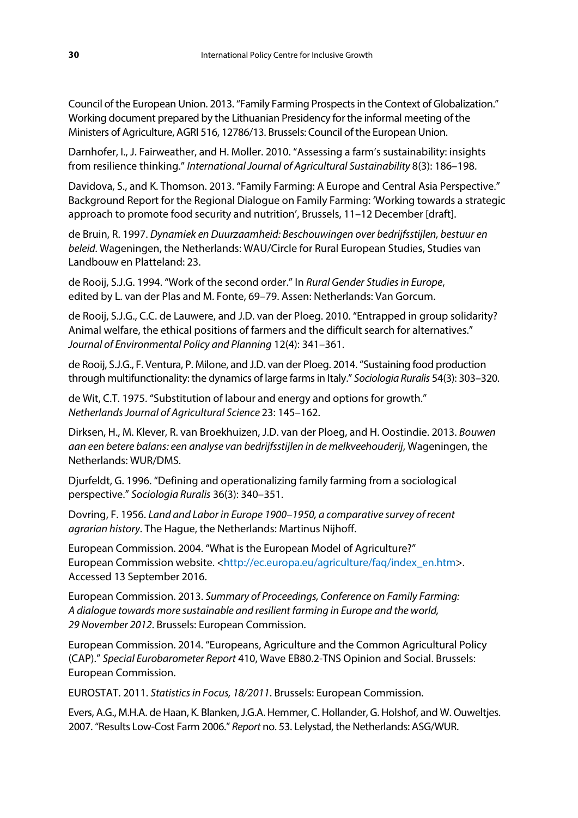Council of the European Union. 2013. "Family Farming Prospects in the Context of Globalization." Working document prepared by the Lithuanian Presidency for the informal meeting of the Ministers of Agriculture, AGRI 516, 12786/13. Brussels: Council of the European Union.

Darnhofer, I., J. Fairweather, and H. Moller. 2010. "Assessing a farm's sustainability: insights from resilience thinking." *International Journal of Agricultural Sustainability* 8(3): 186–198.

Davidova, S., and K. Thomson. 2013. "Family Farming: A Europe and Central Asia Perspective." Background Report for the Regional Dialogue on Family Farming: 'Working towards a strategic approach to promote food security and nutrition', Brussels, 11–12 December [draft].

de Bruin, R. 1997. *Dynamiek en Duurzaamheid: Beschouwingen over bedrijfsstijlen, bestuur en beleid.* Wageningen, the Netherlands: WAU/Circle for Rural European Studies, Studies van Landbouw en Platteland: 23.

de Rooij, S.J.G. 1994. "Work of the second order." In *Rural Gender Studies in Europe*, edited by L. van der Plas and M. Fonte, 69–79. Assen: Netherlands: Van Gorcum.

de Rooij, S.J.G., C.C. de Lauwere, and J.D. van der Ploeg. 2010. "Entrapped in group solidarity? Animal welfare, the ethical positions of farmers and the difficult search for alternatives." *Journal of Environmental Policy and Planning* 12(4): 341–361.

de Rooij, S.J.G., F. Ventura, P. Milone, and J.D. van der Ploeg. 2014. "Sustaining food production through multifunctionality: the dynamics of large farms in Italy." *Sociologia Ruralis* 54(3): 303–320.

de Wit, C.T. 1975. "Substitution of labour and energy and options for growth." *Netherlands Journal of Agricultural Science* 23: 145–162.

Dirksen, H., M. Klever, R. van Broekhuizen, J.D. van der Ploeg, and H. Oostindie. 2013. *Bouwen aan een betere balans: een analyse van bedrijfsstijlen in de melkveehouderij*, Wageningen, the Netherlands: WUR/DMS.

Djurfeldt, G. 1996. "Defining and operationalizing family farming from a sociological perspective." *Sociologia Ruralis* 36(3): 340–351.

Dovring, F. 1956. *Land and Labor in Europe 1900–1950, a comparative survey of recent agrarian history*. The Hague, the Netherlands: Martinus Nijhoff.

European Commission. 2004. "What is the European Model of Agriculture?" European Commission website. [<http://ec.europa.eu/agriculture/faq/index\\_en.htm>](http://ec.europa.eu/agriculture/faq/index_en.htm). Accessed 13 September 2016.

European Commission. 2013. *Summary of Proceedings, Conference on Family Farming: A dialogue towards more sustainable and resilient farming in Europe and the world, 29 November 2012*. Brussels: European Commission.

European Commission. 2014. "Europeans, Agriculture and the Common Agricultural Policy (CAP)." *Special Eurobarometer Report* 410, Wave EB80.2-TNS Opinion and Social. Brussels: European Commission.

EUROSTAT. 2011. *Statistics in Focus, 18/2011*. Brussels: European Commission.

Evers, A.G., M.H.A. de Haan, K. Blanken, J.G.A. Hemmer, C. Hollander, G. Holshof, and W. Ouweltjes. 2007. "Results Low-Cost Farm 2006." *Report* no. 53. Lelystad, the Netherlands: ASG/WUR.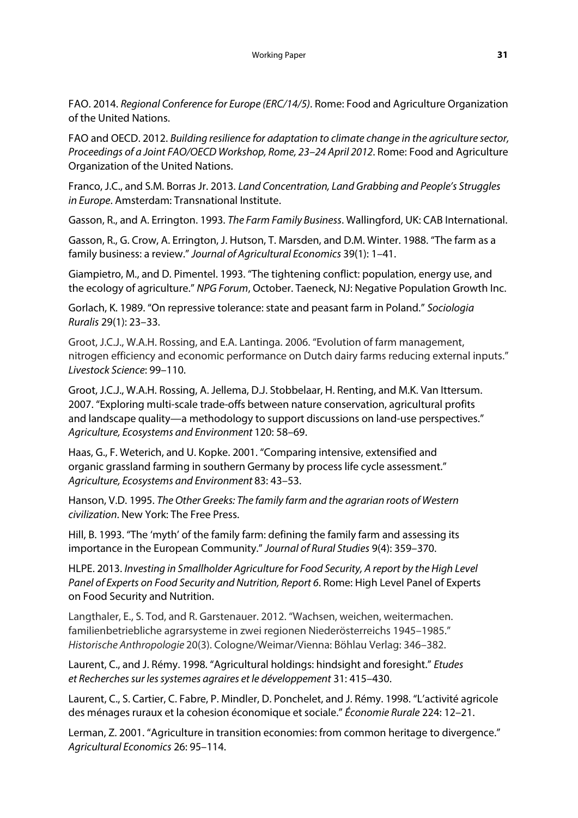FAO. 2014. *Regional Conference for Europe (ERC/14/5)*. Rome: Food and Agriculture Organization of the United Nations.

FAO and OECD. 2012. *Building resilience for adaptation to climate change in the agriculture sector, Proceedings of a Joint FAO/OECD Workshop, Rome, 23–24 April 2012*. Rome: Food and Agriculture Organization of the United Nations.

Franco, J.C., and S.M. Borras Jr. 2013. *Land Concentration, Land Grabbing and People's Struggles in Europe*. Amsterdam: Transnational Institute.

Gasson, R., and A. Errington. 1993. *The Farm Family Business*. Wallingford, UK: CAB International.

Gasson, R., G. Crow, A. Errington, J. Hutson, T. Marsden, and D.M. Winter. 1988. "The farm as a family business: a review." *Journal of Agricultural Economics* 39(1): 1–41.

Giampietro, M., and D. Pimentel. 1993. "The tightening conflict: population, energy use, and the ecology of agriculture." *NPG Forum*, October. Taeneck, NJ: Negative Population Growth Inc.

Gorlach, K. 1989. "On repressive tolerance: state and peasant farm in Poland." *Sociologia Ruralis* 29(1): 23–33.

Groot, J.C.J., W.A.H. Rossing, and E.A. Lantinga. 2006. "Evolution of farm management, nitrogen efficiency and economic performance on Dutch dairy farms reducing external inputs." *Livestock Science*: 99–110.

Groot, J.C.J., W.A.H. Rossing, A. Jellema, D.J. Stobbelaar, H. Renting, and M.K. Van Ittersum. 2007. "Exploring multi-scale trade-offs between nature conservation, agricultural profits and landscape quality—a methodology to support discussions on land-use perspectives." *Agriculture, Ecosystems and Environment* 120: 58–69.

Haas, G., F. Weterich, and U. Kopke. 2001. "Comparing intensive, extensified and organic grassland farming in southern Germany by process life cycle assessment." *Agriculture, Ecosystems and Environment* 83: 43–53.

Hanson, V.D. 1995. *The Other Greeks: The family farm and the agrarian roots of Western civilization*. New York: The Free Press.

Hill, B. 1993. "The 'myth' of the family farm: defining the family farm and assessing its importance in the European Community." *Journal of Rural Studies* 9(4): 359–370.

HLPE. 2013. *Investing in Smallholder Agriculture for Food Security, A report by the High Level Panel of Experts on Food Security and Nutrition, Report 6*. Rome: High Level Panel of Experts on Food Security and Nutrition.

Langthaler, E., S. Tod, and R. Garstenauer. 2012. "Wachsen, weichen, weitermachen. familienbetriebliche agrarsysteme in zwei regionen Niederösterreichs 1945–1985." *Historische Anthropologie* 20(3). Cologne/Weimar/Vienna: Böhlau Verlag: 346–382.

Laurent, C., and J. Rémy. 1998. "Agricultural holdings: hindsight and foresight." *Etudes et Recherches sur les systemes agraires et le développement* 31: 415–430.

Laurent, C., S. Cartier, C. Fabre, P. Mindler, D. Ponchelet, and J. Rémy. 1998. "L'activité agricole des ménages ruraux et la cohesion économique et sociale." *Économie Rurale* 224: 12–21.

Lerman, Z. 2001. "Agriculture in transition economies: from common heritage to divergence." *Agricultural Economics* 26: 95–114.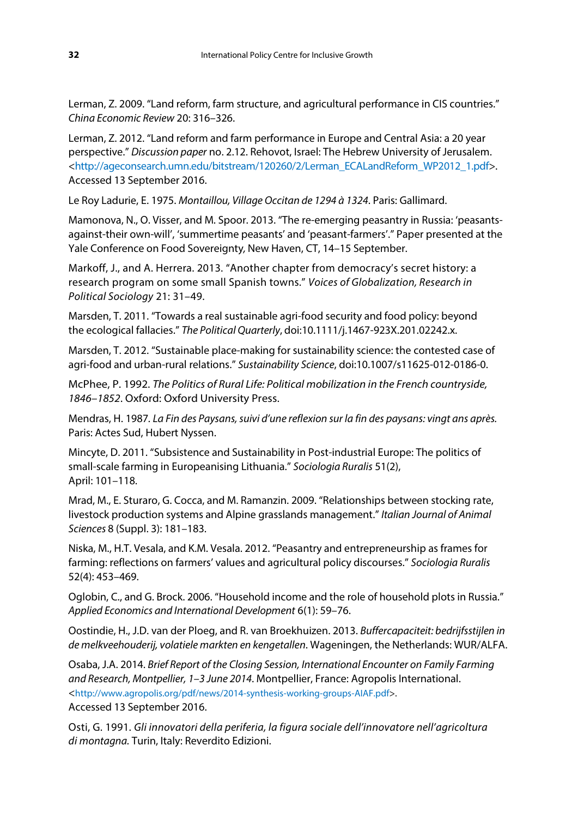Lerman, Z. 2009. "Land reform, farm structure, and agricultural performance in CIS countries." *China Economic Review* 20: 316–326.

Lerman, Z. 2012. "Land reform and farm performance in Europe and Central Asia: a 20 year perspective." *Discussion paper* no. 2.12. Rehovot, Israel: The Hebrew University of Jerusalem. [<http://ageconsearch.umn.edu/bitstream/120260/2/Lerman\\_ECALandReform\\_WP2012\\_1.pdf>](http://ageconsearch.umn.edu/bitstream/120260/2/Lerman_ECALandReform_WP2012_1.pdf). Accessed 13 September 2016.

Le Roy Ladurie, E. 1975. *Montaillou, Village Occitan de 1294 à 1324*. Paris: Gallimard.

Mamonova, N., O. Visser, and M. Spoor. 2013. "The re-emerging peasantry in Russia: 'peasantsagainst-their own-will', 'summertime peasants' and 'peasant-farmers'." Paper presented at the Yale Conference on Food Sovereignty*,* New Haven, CT, 14–15 September.

Markoff, J., and A. Herrera. 2013. "Another chapter from democracy's secret history: a research program on some small Spanish towns." *Voices of Globalization, Research in Political Sociology* 21: 31–49.

Marsden, T. 2011. "Towards a real sustainable agri-food security and food policy: beyond the ecological fallacies." *The Political Quarterly*, doi:10.1111/j.1467-923X.201.02242.x.

Marsden, T. 2012. "Sustainable place-making for sustainability science: the contested case of agri-food and urban-rural relations." *Sustainability Science*, doi:10.1007/s11625-012-0186-0.

McPhee, P. 1992. *The Politics of Rural Life: Political mobilization in the French countryside, 1846–1852*. Oxford: Oxford University Press.

Mendras, H. 1987*. La Fin des Paysans, suivi d'une reflexion sur la fin des paysans: vingt ans après.*  Paris: Actes Sud, Hubert Nyssen.

Mincyte, D. 2011. "Subsistence and Sustainability in Post-industrial Europe: The politics of small-scale farming in Europeanising Lithuania." *Sociologia Ruralis* 51(2), April: 101–118.

Mrad, M., E. Sturaro, G. Cocca, and M. Ramanzin. 2009. "Relationships between stocking rate, livestock production systems and Alpine grasslands management." *Italian Journal of Animal Sciences* 8 (Suppl. 3): 181–183.

Niska, M., H.T. Vesala, and K.M. Vesala. 2012. "Peasantry and entrepreneurship as frames for farming: reflections on farmers' values and agricultural policy discourses." *Sociologia Ruralis* 52(4): 453–469.

Oglobin, C., and G. Brock. 2006. "Household income and the role of household plots in Russia." *Applied Economics and International Development* 6(1): 59–76.

Oostindie, H., J.D. van der Ploeg, and R. van Broekhuizen. 2013. *Buffercapaciteit: bedrijfsstijlen in de melkveehouderij, volatiele markten en kengetallen*. Wageningen, the Netherlands: WUR/ALFA.

Osaba, J.A. 2014. *Brief Report of the Closing Session, International Encounter on Family Farming and Research, Montpellier, 1–3 June 2014*. Montpellier, France: Agropolis International. <http://www.agropolis.org/pdf/news/2014-synthesis-working-groups-AIAF.pdf>.

Accessed 13 September 2016.

Osti, G. 1991. *Gli innovatori della periferia, la figura sociale dell'innovatore nell'agricoltura di montagna.* Turin, Italy: Reverdito Edizioni.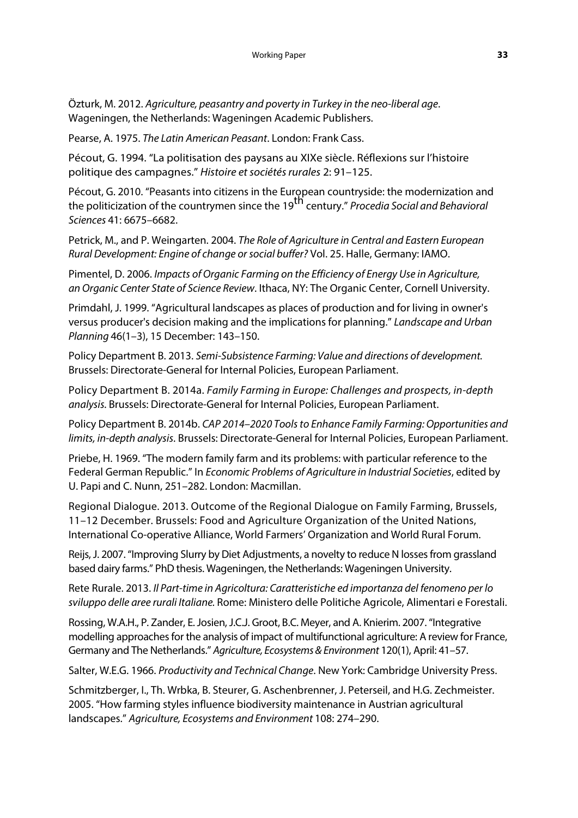Özturk, M. 2012. *Agriculture, peasantry and poverty in Turkey in the neo-liberal age*. Wageningen, the Netherlands: Wageningen Academic Publishers.

Pearse, A. 1975. *The Latin American Peasant*. London: Frank Cass.

Pécout, G. 1994. "La politisation des paysans au XIXe siècle. Réflexions sur l'histoire politique des campagnes." *Histoire et sociétés rurales* 2: 91–125.

Pécout, G. 2010. "Peasants into citizens in the European countryside: the modernization and the politicization of the countrymen since the 19th century." *Procedia Social and Behavioral Sciences* 41: 6675–6682.

Petrick, M., and P. Weingarten. 2004. *The Role of Agriculture in Central and Eastern European Rural Development: Engine of change or social buffer?* Vol. 25. Halle, Germany: IAMO.

Pimentel, D. 2006. *Impacts of Organic Farming on the Efficiency of Energy Use in Agriculture, an Organic Center State of Science Review*. Ithaca, NY: The Organic Center, Cornell University.

Primdahl, J. 1999. "Agricultural landscapes as places of production and for living in owner's versus producer's decision making and the implications for planning." *Landscape and Urban Planning* 46(1–3), 15 December: 143–150.

Policy Department B. 2013. *Semi-Subsistence Farming: Value and directions of development.*  Brussels: Directorate-General for Internal Policies, European Parliament.

Policy Department B. 2014a. *Family Farming in Europe: Challenges and prospects, in-depth analysis.* Brussels: Directorate-General for Internal Policies, European Parliament.

Policy Department B. 2014b. *CAP 2014–2020 Tools to Enhance Family Farming: Opportunities and limits, in-depth analysis*. Brussels: Directorate-General for Internal Policies, European Parliament.

Priebe, H. 1969. "The modern family farm and its problems: with particular reference to the Federal German Republic." In *Economic Problems of Agriculture in Industrial Societies*, edited by U. Papi and C. Nunn, 251–282. London: Macmillan.

Regional Dialogue. 2013. Outcome of the Regional Dialogue on Family Farming, Brussels, 11–12 December. Brussels: Food and Agriculture Organization of the United Nations, International Co-operative Alliance, World Farmers' Organization and World Rural Forum.

Reijs, J. 2007. "Improving Slurry by Diet Adjustments, a novelty to reduce N losses from grassland based dairy farms." PhD thesis. Wageningen, the Netherlands: Wageningen University.

Rete Rurale. 2013. *Il Part-time in Agricoltura: Caratteristiche ed importanza del fenomeno per lo sviluppo delle aree rurali Italiane.* Rome: Ministero delle Politiche Agricole, Alimentari e Forestali.

Rossing, W.A.H., P. Zander, E. Josien, J.C.J. Groot, B.C. Meyer, and A. Knierim. 2007. "Integrative modelling approaches for the analysis of impact of multifunctional agriculture: A review for France, Germany and The Netherlands." *Agriculture, Ecosystems & Environment* 120(1), April: 41–57.

Salter, W.E.G. 1966. *Productivity and Technical Change*. New York: Cambridge University Press.

Schmitzberger, I., Th. Wrbka, B. Steurer, G. Aschenbrenner, J. Peterseil, and H.G. Zechmeister. 2005. "How farming styles influence biodiversity maintenance in Austrian agricultural landscapes." *Agriculture, Ecosystems and Environment* 108: 274–290.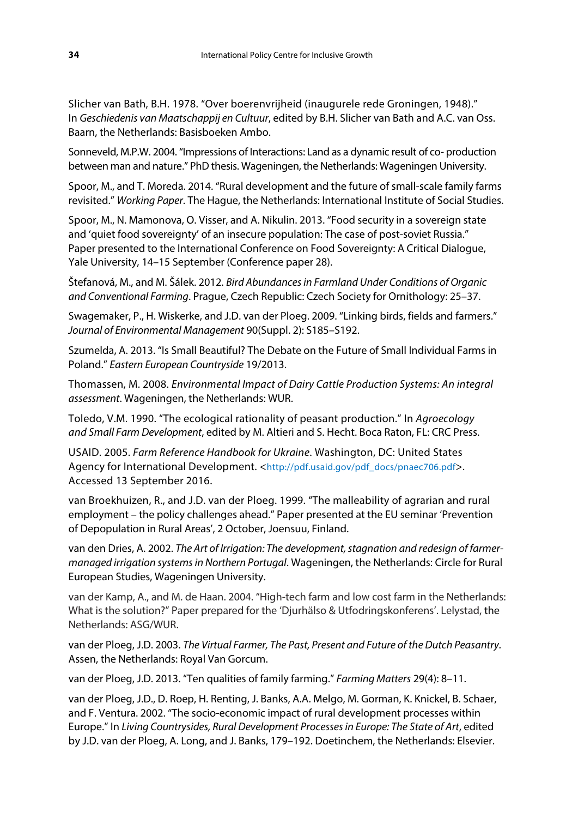Slicher van Bath, B.H. 1978. "Over boerenvrijheid (inaugurele rede Groningen, 1948)." In *Geschiedenis van Maatschappij en Cultuur*, edited by B.H. Slicher van Bath and A.C. van Oss. Baarn, the Netherlands: Basisboeken Ambo.

Sonneveld, M.P.W. 2004. "Impressions of Interactions: Land as a dynamic result of co- production between man and nature." PhD thesis. Wageningen, the Netherlands: Wageningen University.

Spoor, M., and T. Moreda. 2014. "Rural development and the future of small-scale family farms revisited." *Working Paper*. The Hague, the Netherlands: International Institute of Social Studies.

Spoor, M., N. Mamonova, O. Visser, and A. Nikulin. 2013. "Food security in a sovereign state and 'quiet food sovereignty' of an insecure population: The case of post-soviet Russia." Paper presented to the International Conference on Food Sovereignty: A Critical Dialogue, Yale University, 14–15 September (Conference paper 28).

Štefanová, M., and M. Šálek. 2012. *Bird Abundances in Farmland Under Conditions of Organic and Conventional Farming*. Prague, Czech Republic: Czech Society for Ornithology: 25–37.

Swagemaker, P., H. Wiskerke, and J.D. van der Ploeg. 2009. "Linking birds, fields and farmers." *Journal of Environmental Management* 90(Suppl. 2): S185–S192.

Szumelda, A. 2013. "Is Small Beautiful? The Debate on the Future of Small Individual Farms in Poland." *Eastern European Countryside* 19/2013.

Thomassen, M. 2008. *Environmental Impact of Dairy Cattle Production Systems: An integral assessment*. Wageningen, the Netherlands: WUR.

Toledo, V.M. 1990. "The ecological rationality of peasant production." In *Agroecology and Small Farm Development*, edited by M. Altieri and S. Hecht. Boca Raton, FL: CRC Press.

USAID. 2005. *Farm Reference Handbook for Ukraine*. Washington, DC: United States Agency for International Development. <http://pdf.usaid.gov/pdf\_docs/pnaec706.pdf>. Accessed 13 September 2016.

van Broekhuizen, R., and J.D. van der Ploeg. 1999. "The malleability of agrarian and rural employment – the policy challenges ahead." Paper presented at the EU seminar 'Prevention of Depopulation in Rural Areas', 2 October, Joensuu, Finland.

van den Dries, A. 2002. *The Art of Irrigation: The development, stagnation and redesign of farmermanaged irrigation systemsin Northern Portugal*. Wageningen, the Netherlands: Circle for Rural European Studies, Wageningen University.

van der Kamp, A., and M. de Haan. 2004. "High-tech farm and low cost farm in the Netherlands: What is the solution?" Paper prepared for the 'Djurhälso & Utfodringskonferens'. Lelystad, the Netherlands: ASG/WUR.

van der Ploeg, J.D. 2003. *The Virtual Farmer, The Past, Present and Future of the Dutch Peasantry*. Assen, the Netherlands: Royal Van Gorcum.

van der Ploeg, J.D. 2013. "Ten qualities of family farming." *Farming Matters* 29(4): 8–11.

van der Ploeg, J.D., D. Roep, H. Renting, J. Banks, A.A. Melgo, M. Gorman, K. Knickel, B. Schaer, and F. Ventura. 2002. "The socio-economic impact of rural development processes within Europe." In *Living Countrysides, Rural Development Processes in Europe: The State of Art*, edited by J.D. van der Ploeg, A. Long, and J. Banks, 179–192. Doetinchem, the Netherlands: Elsevier.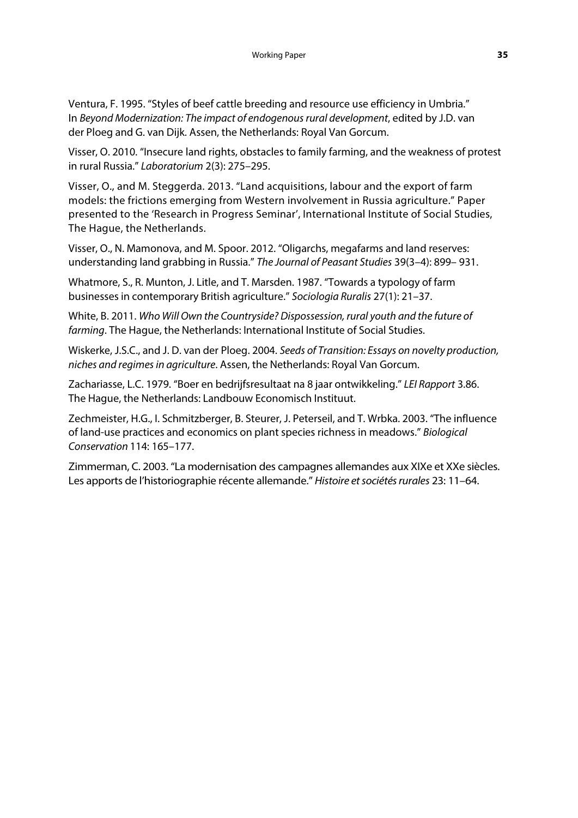Ventura, F. 1995. "Styles of beef cattle breeding and resource use efficiency in Umbria." In *Beyond Modernization: The impact of endogenous rural development*, edited by J.D. van der Ploeg and G. van Dijk. Assen, the Netherlands: Royal Van Gorcum.

Visser, O. 2010. "Insecure land rights, obstacles to family farming, and the weakness of protest in rural Russia." *Laboratorium* 2(3): 275–295.

Visser, O., and M. Steggerda. 2013. "Land acquisitions, labour and the export of farm models: the frictions emerging from Western involvement in Russia agriculture." Paper presented to the 'Research in Progress Seminar', International Institute of Social Studies, The Hague, the Netherlands.

Visser, O., N. Mamonova, and M. Spoor. 2012. "Oligarchs, megafarms and land reserves: understanding land grabbing in Russia." *The Journal of Peasant Studies* 39(3–4): 899– 931.

Whatmore, S., R. Munton, J. Litle, and T. Marsden. 1987. "Towards a typology of farm businesses in contemporary British agriculture." *Sociologia Ruralis* 27(1): 21–37.

White, B. 2011. *Who Will Own the Countryside? Dispossession, rural youth and the future of farming*. The Hague, the Netherlands: International Institute of Social Studies.

Wiskerke, J.S.C., and J. D. van der Ploeg. 2004. *Seeds of Transition: Essays on novelty production, niches and regimes in agriculture*. Assen, the Netherlands: Royal Van Gorcum.

Zachariasse, L.C. 1979. "Boer en bedrijfsresultaat na 8 jaar ontwikkeling." *LEI Rapport* 3.86. The Hague, the Netherlands: Landbouw Economisch Instituut.

Zechmeister, H.G., I. Schmitzberger, B. Steurer, J. Peterseil, and T. Wrbka. 2003. "The influence of land-use practices and economics on plant species richness in meadows." *Biological Conservation* 114: 165–177.

Zimmerman, C. 2003. "La modernisation des campagnes allemandes aux XIXe et XXe siècles. Les apports de l'historiographie récente allemande." *Histoire et sociétés rurales* 23: 11–64.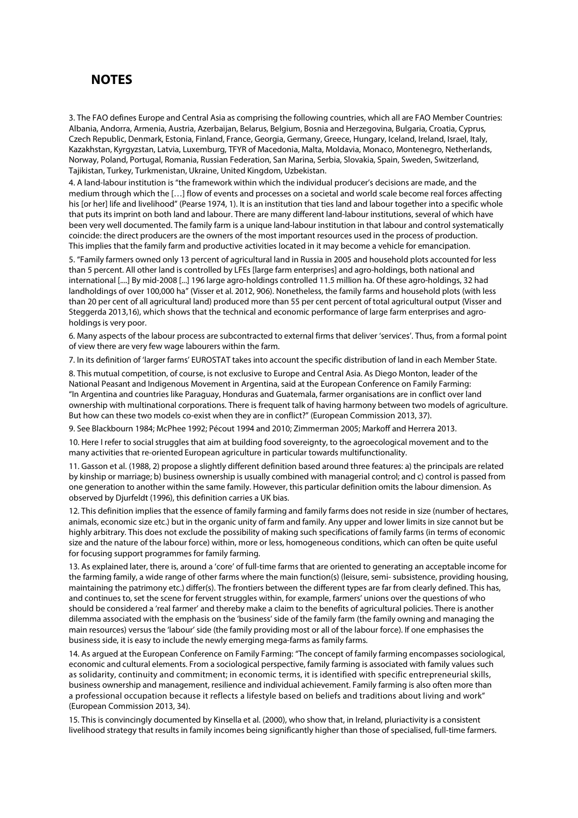## **NOTES**

3. The FAO defines Europe and Central Asia as comprising the following countries, which all are FAO Member Countries: Albania, Andorra, Armenia, Austria, Azerbaijan, Belarus, Belgium, Bosnia and Herzegovina, Bulgaria, Croatia, Cyprus, Czech Republic, Denmark, Estonia, Finland, France, Georgia, Germany, Greece, Hungary, Iceland, Ireland, Israel, Italy, Kazakhstan, Kyrgyzstan, Latvia, Luxemburg, TFYR of Macedonia, Malta, Moldavia, Monaco, Montenegro, Netherlands, Norway, Poland, Portugal, Romania, Russian Federation, San Marina, Serbia, Slovakia, Spain, Sweden, Switzerland, Tajikistan, Turkey, Turkmenistan, Ukraine, United Kingdom, Uzbekistan.

4. A land-labour institution is "the framework within which the individual producer's decisions are made, and the medium through which the […] flow of events and processes on a societal and world scale become real forces affecting his [or her] life and livelihood" (Pearse 1974, 1). It is an institution that ties land and labour together into a specific whole that puts its imprint on both land and labour. There are many different land-labour institutions, several of which have been very well documented. The family farm is a unique land-labour institution in that labour and control systematically coincide: the direct producers are the owners of the most important resources used in the process of production. This implies that the family farm and productive activities located in it may become a vehicle for emancipation.

5. "Family farmers owned only 13 percent of agricultural land in Russia in 2005 and household plots accounted for less than 5 percent. All other land is controlled by LFEs [large farm enterprises] and agro-holdings, both national and international [....] By mid-2008 [...] 196 large agro-holdings controlled 11.5 million ha. Of these agro-holdings, 32 had landholdings of over 100,000 ha" (Visser et al. 2012, 906). Nonetheless, the family farms and household plots (with less than 20 per cent of all agricultural land) produced more than 55 per cent percent of total agricultural output (Visser and Steggerda 2013,16), which shows that the technical and economic performance of large farm enterprises and agroholdings is very poor.

6. Many aspects of the labour process are subcontracted to external firms that deliver 'services'. Thus, from a formal point of view there are very few wage labourers within the farm.

7. In its definition of 'larger farms' EUROSTAT takes into account the specific distribution of land in each Member State.

8. This mutual competition, of course, is not exclusive to Europe and Central Asia. As Diego Monton, leader of the National Peasant and Indigenous Movement in Argentina, said at the European Conference on Family Farming: "In Argentina and countries like Paraguay, Honduras and Guatemala, farmer organisations are in conflict over land ownership with multinational corporations. There is frequent talk of having harmony between two models of agriculture. But how can these two models co-exist when they are in conflict?" (European Commission 2013, 37).

9. See Blackbourn 1984; McPhee 1992; Pécout 1994 and 2010; Zimmerman 2005; Markoff and Herrera 2013.

10. Here I refer to social struggles that aim at building food sovereignty, to the agroecological movement and to the many activities that re-oriented European agriculture in particular towards multifunctionality.

11. Gasson et al. (1988, 2) propose a slightly different definition based around three features: a) the principals are related by kinship or marriage; b) business ownership is usually combined with managerial control; and c) control is passed from one generation to another within the same family. However, this particular definition omits the labour dimension. As observed by Djurfeldt (1996), this definition carries a UK bias.

12. This definition implies that the essence of family farming and family farms does not reside in size (number of hectares, animals, economic size etc.) but in the organic unity of farm and family. Any upper and lower limits in size cannot but be highly arbitrary. This does not exclude the possibility of making such specifications of family farms (in terms of economic size and the nature of the labour force) within, more or less, homogeneous conditions, which can often be quite useful for focusing support programmes for family farming.

13. As explained later, there is, around a 'core' of full-time farms that are oriented to generating an acceptable income for the farming family, a wide range of other farms where the main function(s) (leisure, semi- subsistence, providing housing, maintaining the patrimony etc.) differ(s). The frontiers between the different types are far from clearly defined. This has, and continues to, set the scene for fervent struggles within, for example, farmers' unions over the questions of who should be considered a 'real farmer' and thereby make a claim to the benefits of agricultural policies. There is another dilemma associated with the emphasis on the 'business' side of the family farm (the family owning and managing the main resources) versus the 'labour' side (the family providing most or all of the labour force). If one emphasises the business side, it is easy to include the newly emerging mega-farms as family farms.

14. As argued at the European Conference on Family Farming: "The concept of family farming encompasses sociological, economic and cultural elements. From a sociological perspective, family farming is associated with family values such as solidarity, continuity and commitment; in economic terms, it is identified with specific entrepreneurial skills, business ownership and management, resilience and individual achievement. Family farming is also often more than a professional occupation because it reflects a lifestyle based on beliefs and traditions about living and work" (European Commission 2013, 34).

15. This is convincingly documented by Kinsella et al. (2000), who show that, in Ireland, pluriactivity is a consistent livelihood strategy that results in family incomes being significantly higher than those of specialised, full-time farmers.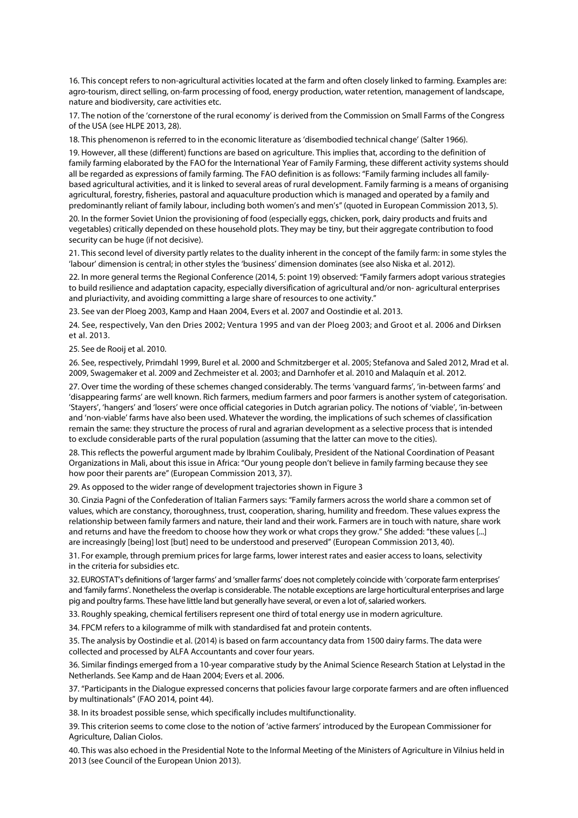<span id="page-38-13"></span>16. This concept refers to non-agricultural activities located at the farm and often closely linked to farming. Examples are: agro-tourism, direct selling, on-farm processing of food, energy production, water retention, management of landscape, nature and biodiversity, care activities etc.

<span id="page-38-14"></span><span id="page-38-0"></span>17. The notion of the 'cornerstone of the rural economy' is derived from the Commission on Small Farms of the Congress of the USA (see HLPE 2013, 28).

18. This phenomenon is referred to in the economic literature as 'disembodied technical change' (Salter 1966).

<span id="page-38-16"></span><span id="page-38-15"></span><span id="page-38-1"></span>19. However, all these (different) functions are based on agriculture. This implies that, according to the definition of family farming elaborated by the FAO for the International Year of Family Farming, these different activity systems should all be regarded as expressions of family farming. The FAO definition is as follows: "Family farming includes all familybased agricultural activities, and it is linked to several areas of rural development. Family farming is a means of organising agricultural, forestry, fisheries, pastoral and aquaculture production which is managed and operated by a family and predominantly reliant of family labour, including both women's and men's" (quoted in European Commission 2013, 5).

<span id="page-38-17"></span>20. In the former Soviet Union the provisioning of food (especially eggs, chicken, pork, dairy products and fruits and vegetables) critically depended on these household plots. They may be tiny, but their aggregate contribution to food security can be huge (if not decisive).

<span id="page-38-18"></span><span id="page-38-2"></span>21. This second level of diversity partly relates to the duality inherent in the concept of the family farm: in some styles the 'labour' dimension is central; in other styles the 'business' dimension dominates (see also Niska et al. 2012).

<span id="page-38-19"></span>22. In more general terms the Regional Conference (2014, 5: point 19) observed: "Family farmers adopt various strategies to build resilience and adaptation capacity, especially diversification of agricultural and/or non- agricultural enterprises and pluriactivity, and avoiding committing a large share of resources to one activity."

<span id="page-38-20"></span>23. See van der Ploeg 2003, Kamp and Haan 2004, Evers et al. 2007 and Oostindie et al. 2013.

<span id="page-38-21"></span><span id="page-38-3"></span>24. See, respectively, Van den Dries 2002; Ventura 1995 and van der Ploeg 2003; and Groot et al. 2006 and Dirksen et al. 2013.

<span id="page-38-22"></span>25. See de Rooij et al. 2010.

<span id="page-38-23"></span><span id="page-38-5"></span><span id="page-38-4"></span>26. See, respectively, Primdahl 1999, Burel et al. 2000 and Schmitzberger et al. 2005; Stefanova and Saled 2012, Mrad et al. 2009, Swagemaker et al. 2009 and Zechmeister et al. 2003; and Darnhofer et al. 2010 and Malaquín et al. 2012.

<span id="page-38-24"></span>27. Over time the wording of these schemes changed considerably. The terms 'vanguard farms', 'in-between farms' and 'disappearing farms' are well known. Rich farmers, medium farmers and poor farmers is another system of categorisation. 'Stayers', 'hangers' and 'losers' were once official categories in Dutch agrarian policy. The notions of 'viable', 'in-between and 'non-viable' farms have also been used. Whatever the wording, the implications of such schemes of classification remain the same: they structure the process of rural and agrarian development as a selective process that is intended to exclude considerable parts of the rural population (assuming that the latter can move to the cities).

<span id="page-38-25"></span><span id="page-38-8"></span><span id="page-38-7"></span><span id="page-38-6"></span>28. This reflects the powerful argument made by Ibrahim Coulibaly, President of the National Coordination of Peasant Organizations in Mali, about this issue in Africa: "Our young people don't believe in family farming because they see how poor their parents are" (European Commission 2013, 37).

<span id="page-38-26"></span>29. As opposed to the wider range of development trajectories shown in Figure 3

<span id="page-38-27"></span><span id="page-38-9"></span>30. Cinzia Pagni of the Confederation of Italian Farmers says: "Family farmers across the world share a common set of values, which are constancy, thoroughness, trust, cooperation, sharing, humility and freedom. These values express the relationship between family farmers and nature, their land and their work. Farmers are in touch with nature, share work and returns and have the freedom to choose how they work or what crops they grow." She added: "these values [...] are increasingly [being] lost [but] need to be understood and preserved" (European Commission 2013, 40).

<span id="page-38-28"></span><span id="page-38-10"></span>31. For example, through premium prices for large farms, lower interest rates and easier access to loans, selectivity in the criteria for subsidies etc.

<span id="page-38-29"></span>32. EUROSTAT's definitions of 'larger farms' and 'smaller farms' does not completely coincide with 'corporate farm enterprises' and 'family farms'. Nonetheless the overlap is considerable. The notable exceptions are large horticultural enterprises and large pig and poultry farms. These have little land but generally have several, or even a lot of, salaried workers.

<span id="page-38-30"></span>33. Roughly speaking, chemical fertilisers represent one third of total energy use in modern agriculture.

<span id="page-38-31"></span>34. FPCM refers to a kilogramme of milk with standardised fat and protein contents.

<span id="page-38-32"></span><span id="page-38-11"></span>35. The analysis by Oostindie et al. (2014) is based on farm accountancy data from 1500 dairy farms. The data were collected and processed by ALFA Accountants and cover four years.

<span id="page-38-33"></span>36. Similar findings emerged from a 10-year comparative study by the Animal Science Research Station at Lelystad in the Netherlands. See Kamp and de Haan 2004; Evers et al. 2006.

<span id="page-38-34"></span>37. "Participants in the Dialogue expressed concerns that policies favour large corporate farmers and are often influenced by multinationals" (FAO 2014, point 44).

<span id="page-38-35"></span>38. In its broadest possible sense, which specifically includes multifunctionality.

<span id="page-38-36"></span><span id="page-38-12"></span>39. This criterion seems to come close to the notion of 'active farmers' introduced by the European Commissioner for Agriculture, Dalian Ciolos.

<span id="page-38-37"></span>40. This was also echoed in the Presidential Note to the Informal Meeting of the Ministers of Agriculture in Vilnius held in 2013 (see Council of the European Union 2013).